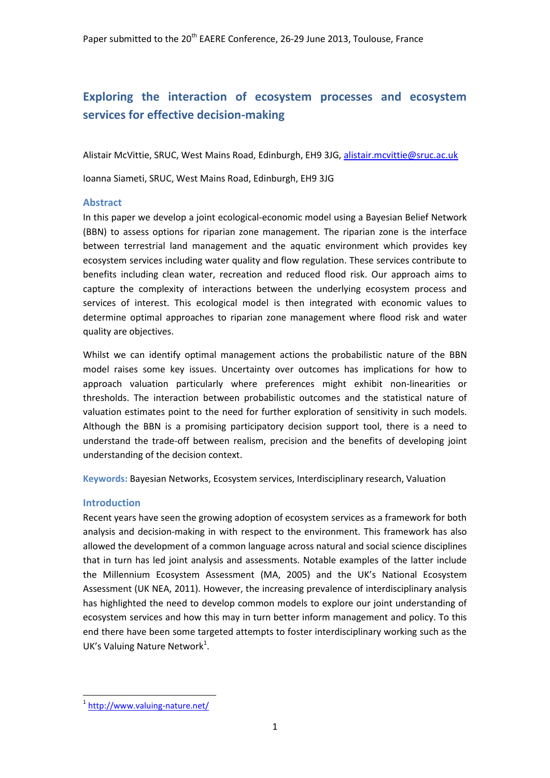## **Exploring the interaction of ecosystem processes and ecosystem services for effective decision-making**

Alistair McVittie, SRUC, West Mains Road, Edinburgh, EH9 3JG, [alistair.mcvittie@sruc.ac.uk](mailto:alistair.mcvittie@sruc.ac.uk)

Ioanna Siameti, SRUC, West Mains Road, Edinburgh, EH9 3JG

## **Abstract**

In this paper we develop a joint ecological-economic model using a Bayesian Belief Network (BBN) to assess options for riparian zone management. The riparian zone is the interface between terrestrial land management and the aquatic environment which provides key ecosystem services including water quality and flow regulation. These services contribute to benefits including clean water, recreation and reduced flood risk. Our approach aims to capture the complexity of interactions between the underlying ecosystem process and services of interest. This ecological model is then integrated with economic values to determine optimal approaches to riparian zone management where flood risk and water quality are objectives.

Whilst we can identify optimal management actions the probabilistic nature of the BBN model raises some key issues. Uncertainty over outcomes has implications for how to approach valuation particularly where preferences might exhibit non-linearities or thresholds. The interaction between probabilistic outcomes and the statistical nature of valuation estimates point to the need for further exploration of sensitivity in such models. Although the BBN is a promising participatory decision support tool, there is a need to understand the trade-off between realism, precision and the benefits of developing joint understanding of the decision context.

**Keywords:** Bayesian Networks, Ecosystem services, Interdisciplinary research, Valuation

## **Introduction**

Recent years have seen the growing adoption of ecosystem services as a framework for both analysis and decision-making in with respect to the environment. This framework has also allowed the development of a common language across natural and social science disciplines that in turn has led joint analysis and assessments. Notable examples of the latter include the Millennium Ecosystem Assessment (MA, 2005) and the UK's National Ecosystem Assessment (UK NEA, 2011). However, the increasing prevalence of interdisciplinary analysis has highlighted the need to develop common models to explore our joint understanding of ecosystem services and how this may in turn better inform management and policy. To this end there have been some targeted attempts to foster interdisciplinary working such as the UK's Valuing Nature Network<sup>1</sup>.

<sup>1&</sup>lt;br><sup>1</sup> <http://www.valuing-nature.net/>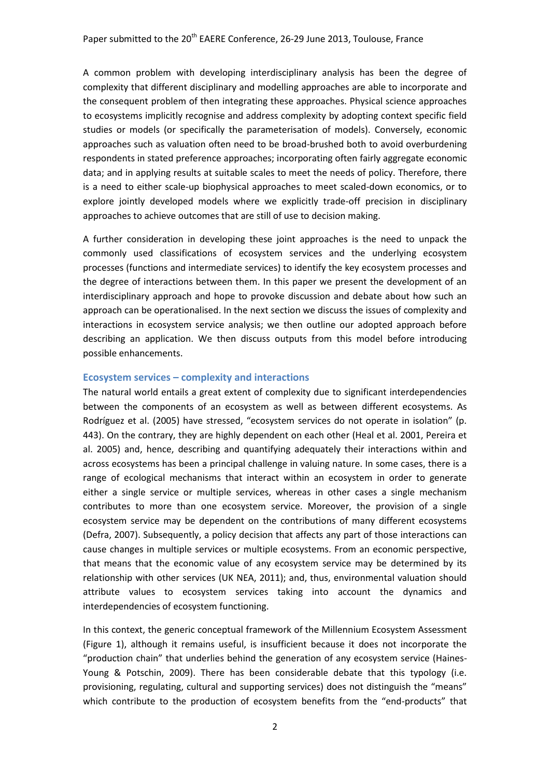A common problem with developing interdisciplinary analysis has been the degree of complexity that different disciplinary and modelling approaches are able to incorporate and the consequent problem of then integrating these approaches. Physical science approaches to ecosystems implicitly recognise and address complexity by adopting context specific field studies or models (or specifically the parameterisation of models). Conversely, economic approaches such as valuation often need to be broad-brushed both to avoid overburdening respondents in stated preference approaches; incorporating often fairly aggregate economic data; and in applying results at suitable scales to meet the needs of policy. Therefore, there is a need to either scale-up biophysical approaches to meet scaled-down economics, or to explore jointly developed models where we explicitly trade-off precision in disciplinary approaches to achieve outcomes that are still of use to decision making.

A further consideration in developing these joint approaches is the need to unpack the commonly used classifications of ecosystem services and the underlying ecosystem processes (functions and intermediate services) to identify the key ecosystem processes and the degree of interactions between them. In this paper we present the development of an interdisciplinary approach and hope to provoke discussion and debate about how such an approach can be operationalised. In the next section we discuss the issues of complexity and interactions in ecosystem service analysis; we then outline our adopted approach before describing an application. We then discuss outputs from this model before introducing possible enhancements.

## **Ecosystem services – complexity and interactions**

The natural world entails a great extent of complexity due to significant interdependencies between the components of an ecosystem as well as between different ecosystems. As Rodríguez et al. (2005) have stressed, "ecosystem services do not operate in isolation" (p. 443). On the contrary, they are highly dependent on each other (Heal et al. 2001, Pereira et al. 2005) and, hence, describing and quantifying adequately their interactions within and across ecosystems has been a principal challenge in valuing nature. In some cases, there is a range of ecological mechanisms that interact within an ecosystem in order to generate either a single service or multiple services, whereas in other cases a single mechanism contributes to more than one ecosystem service. Moreover, the provision of a single ecosystem service may be dependent on the contributions of many different ecosystems (Defra, 2007). Subsequently, a policy decision that affects any part of those interactions can cause changes in multiple services or multiple ecosystems. From an economic perspective, that means that the economic value of any ecosystem service may be determined by its relationship with other services (UK NEA, 2011); and, thus, environmental valuation should attribute values to ecosystem services taking into account the dynamics and interdependencies of ecosystem functioning.

In this context, the generic conceptual framework of the Millennium Ecosystem Assessment [\(Figure 1\)](#page-2-0), although it remains useful, is insufficient because it does not incorporate the "production chain" that underlies behind the generation of any ecosystem service (Haines-Young & Potschin, 2009). There has been considerable debate that this typology (i.e. provisioning, regulating, cultural and supporting services) does not distinguish the "means" which contribute to the production of ecosystem benefits from the "end-products" that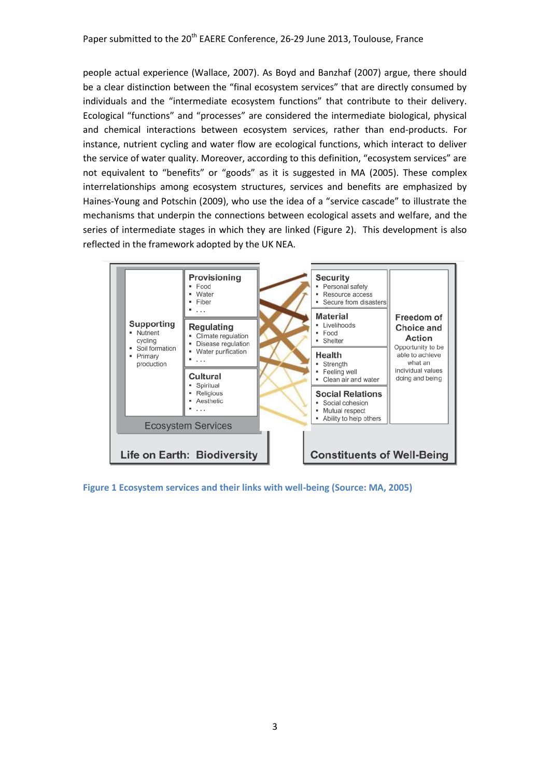people actual experience (Wallace, 2007). As Boyd and Banzhaf (2007) argue, there should be a clear distinction between the "final ecosystem services" that are directly consumed by individuals and the "intermediate ecosystem functions" that contribute to their delivery. Ecological "functions" and "processes" are considered the intermediate biological, physical and chemical interactions between ecosystem services, rather than end-products. For instance, nutrient cycling and water flow are ecological functions, which interact to deliver the service of water quality. Moreover, according to this definition, "ecosystem services" are not equivalent to "benefits" or "goods" as it is suggested in MA (2005). These complex interrelationships among ecosystem structures, services and benefits are emphasized by Haines-Young and Potschin (2009), who use the idea of a "service cascade" to illustrate the mechanisms that underpin the connections between ecological assets and welfare, and the series of intermediate stages in which they are linked [\(Figure 2\)](#page-3-0). This development is also reflected in the framework adopted by the UK NEA.



<span id="page-2-0"></span>**Figure 1 Ecosystem services and their links with well-being (Source: MA, 2005)**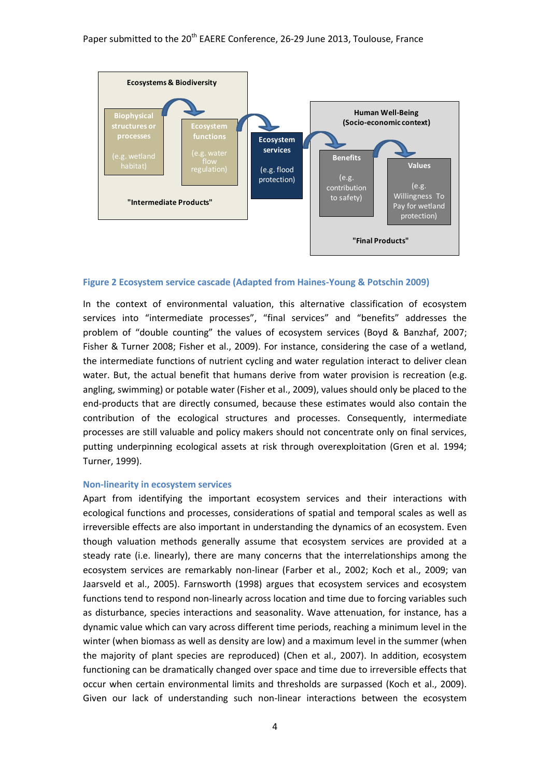

#### <span id="page-3-0"></span>**Figure 2 Ecosystem service cascade (Adapted from Haines-Young & Potschin 2009)**

In the context of environmental valuation, this alternative classification of ecosystem services into "intermediate processes", "final services" and "benefits" addresses the problem of "double counting" the values of ecosystem services (Boyd & Banzhaf, 2007; Fisher & Turner 2008; Fisher et al., 2009). For instance, considering the case of a wetland, the intermediate functions of nutrient cycling and water regulation interact to deliver clean water. But, the actual benefit that humans derive from water provision is recreation (e.g. angling, swimming) or potable water (Fisher et al., 2009), values should only be placed to the end-products that are directly consumed, because these estimates would also contain the contribution of the ecological structures and processes. Consequently, intermediate processes are still valuable and policy makers should not concentrate only on final services, putting underpinning ecological assets at risk through overexploitation (Gren et al. 1994; Turner, 1999).

#### **Non-linearity in ecosystem services**

Apart from identifying the important ecosystem services and their interactions with ecological functions and processes, considerations of spatial and temporal scales as well as irreversible effects are also important in understanding the dynamics of an ecosystem. Even though valuation methods generally assume that ecosystem services are provided at a steady rate (i.e. linearly), there are many concerns that the interrelationships among the ecosystem services are remarkably non-linear (Farber et al., 2002; Koch et al., 2009; van Jaarsveld et al., 2005). Farnsworth (1998) argues that ecosystem services and ecosystem functions tend to respond non-linearly across location and time due to forcing variables such as disturbance, species interactions and seasonality. Wave attenuation, for instance, has a dynamic value which can vary across different time periods, reaching a minimum level in the winter (when biomass as well as density are low) and a maximum level in the summer (when the majority of plant species are reproduced) (Chen et al., 2007). In addition, ecosystem functioning can be dramatically changed over space and time due to irreversible effects that occur when certain environmental limits and thresholds are surpassed (Koch et al., 2009). Given our lack of understanding such non-linear interactions between the ecosystem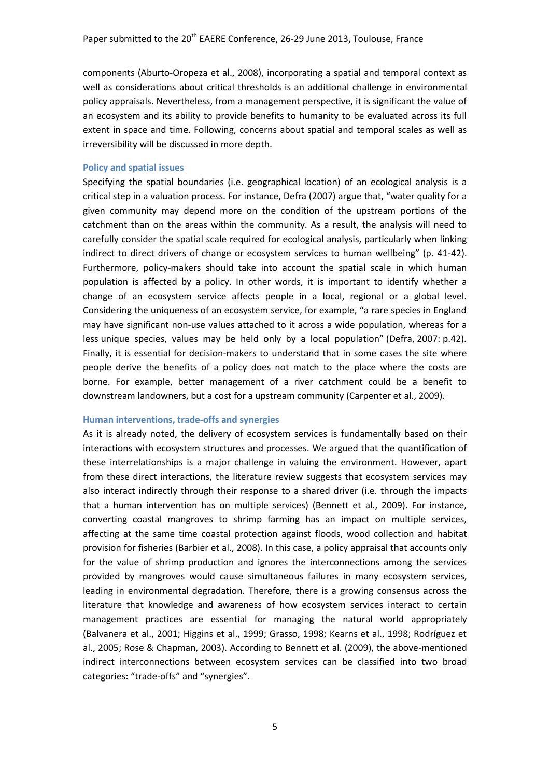components (Aburto-Oropeza et al., 2008), incorporating a spatial and temporal context as well as considerations about critical thresholds is an additional challenge in environmental policy appraisals. Nevertheless, from a management perspective, it is significant the value of an ecosystem and its ability to provide benefits to humanity to be evaluated across its full extent in space and time. Following, concerns about spatial and temporal scales as well as irreversibility will be discussed in more depth.

#### **Policy and spatial issues**

Specifying the spatial boundaries (i.e. geographical location) of an ecological analysis is a critical step in a valuation process. For instance, Defra (2007) argue that, "water quality for a given community may depend more on the condition of the upstream portions of the catchment than on the areas within the community. As a result, the analysis will need to carefully consider the spatial scale required for ecological analysis, particularly when linking indirect to direct drivers of change or ecosystem services to human wellbeing" (p. 41-42). Furthermore, policy-makers should take into account the spatial scale in which human population is affected by a policy. In other words, it is important to identify whether a change of an ecosystem service affects people in a local, regional or a global level. Considering the uniqueness of an ecosystem service, for example, "a rare species in England may have significant non-use values attached to it across a wide population, whereas for a less unique species, values may be held only by a local population" (Defra, 2007: p.42). Finally, it is essential for decision-makers to understand that in some cases the site where people derive the benefits of a policy does not match to the place where the costs are borne. For example, better management of a river catchment could be a benefit to downstream landowners, but a cost for a upstream community (Carpenter et al., 2009).

#### **Human interventions, trade-offs and synergies**

As it is already noted, the delivery of ecosystem services is fundamentally based on their interactions with ecosystem structures and processes. We argued that the quantification of these interrelationships is a major challenge in valuing the environment. However, apart from these direct interactions, the literature review suggests that ecosystem services may also interact indirectly through their response to a shared driver (i.e. through the impacts that a human intervention has on multiple services) (Bennett et al., 2009). For instance, converting coastal mangroves to shrimp farming has an impact on multiple services, affecting at the same time coastal protection against floods, wood collection and habitat provision for fisheries (Barbier et al., 2008). In this case, a policy appraisal that accounts only for the value of shrimp production and ignores the interconnections among the services provided by mangroves would cause simultaneous failures in many ecosystem services, leading in environmental degradation. Therefore, there is a growing consensus across the literature that knowledge and awareness of how ecosystem services interact to certain management practices are essential for managing the natural world appropriately (Balvanera et al., 2001; Higgins et al., 1999; Grasso, 1998; Kearns et al., 1998; Rodríguez et al., 2005; Rose & Chapman, 2003). According to Bennett et al. (2009), the above-mentioned indirect interconnections between ecosystem services can be classified into two broad categories: "trade-offs" and "synergies".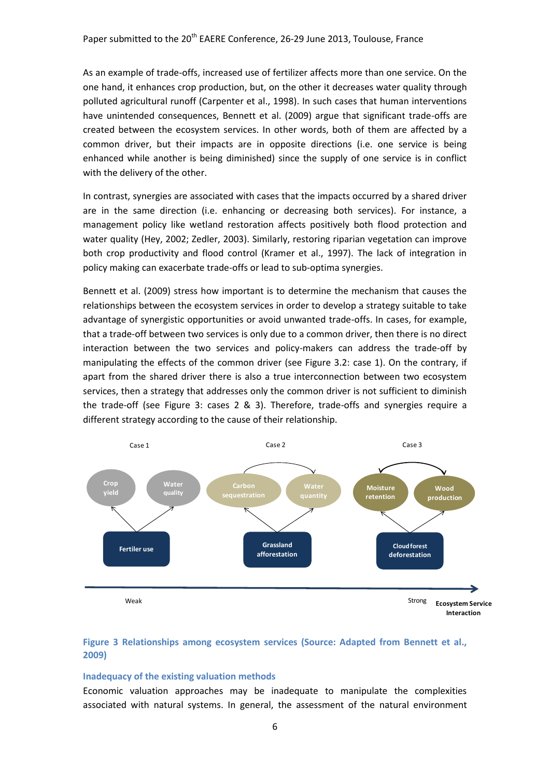As an example of trade-offs, increased use of fertilizer affects more than one service. On the one hand, it enhances crop production, but, on the other it decreases water quality through polluted agricultural runoff (Carpenter et al., 1998). In such cases that human interventions have unintended consequences, Bennett et al. (2009) argue that significant trade-offs are created between the ecosystem services. In other words, both of them are affected by a common driver, but their impacts are in opposite directions (i.e. one service is being enhanced while another is being diminished) since the supply of one service is in conflict with the delivery of the other.

In contrast, synergies are associated with cases that the impacts occurred by a shared driver are in the same direction (i.e. enhancing or decreasing both services). For instance, a management policy like wetland restoration affects positively both flood protection and water quality (Hey, 2002; Zedler, 2003). Similarly, restoring riparian vegetation can improve both crop productivity and flood control (Kramer et al., 1997). The lack of integration in policy making can exacerbate trade-offs or lead to sub-optima synergies.

Bennett et al. (2009) stress how important is to determine the mechanism that causes the relationships between the ecosystem services in order to develop a strategy suitable to take advantage of synergistic opportunities or avoid unwanted trade-offs. In cases, for example, that a trade-off between two services is only due to a common driver, then there is no direct interaction between the two services and policy-makers can address the trade-off by manipulating the effects of the common driver (see Figure 3.2: case 1). On the contrary, if apart from the shared driver there is also a true interconnection between two ecosystem services, then a strategy that addresses only the common driver is not sufficient to diminish the trade-off (see [Figure 3:](#page-5-0) cases 2 & 3). Therefore, trade-offs and synergies require a different strategy according to the cause of their relationship.



## <span id="page-5-0"></span>**Figure 3 Relationships among ecosystem services (Source: Adapted from Bennett et al., 2009)**

#### **Inadequacy of the existing valuation methods**

Economic valuation approaches may be inadequate to manipulate the complexities associated with natural systems. In general, the assessment of the natural environment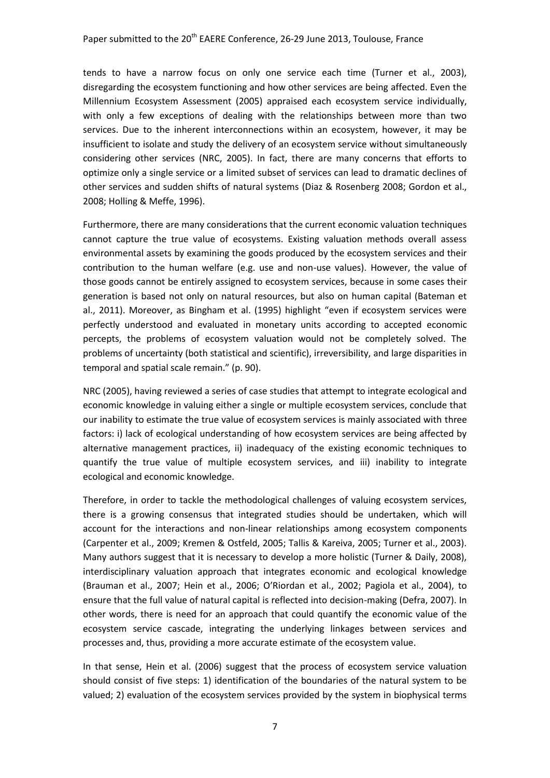tends to have a narrow focus on only one service each time (Turner et al., 2003), disregarding the ecosystem functioning and how other services are being affected. Even the Millennium Ecosystem Assessment (2005) appraised each ecosystem service individually, with only a few exceptions of dealing with the relationships between more than two services. Due to the inherent interconnections within an ecosystem, however, it may be insufficient to isolate and study the delivery of an ecosystem service without simultaneously considering other services (NRC, 2005). In fact, there are many concerns that efforts to optimize only a single service or a limited subset of services can lead to dramatic declines of other services and sudden shifts of natural systems (Diaz & Rosenberg 2008; Gordon et al., 2008; Holling & Meffe, 1996).

Furthermore, there are many considerations that the current economic valuation techniques cannot capture the true value of ecosystems. Existing valuation methods overall assess environmental assets by examining the goods produced by the ecosystem services and their contribution to the human welfare (e.g. use and non-use values). However, the value of those goods cannot be entirely assigned to ecosystem services, because in some cases their generation is based not only on natural resources, but also on human capital (Bateman et al., 2011). Moreover, as Bingham et al. (1995) highlight "even if ecosystem services were perfectly understood and evaluated in monetary units according to accepted economic percepts, the problems of ecosystem valuation would not be completely solved. The problems of uncertainty (both statistical and scientific), irreversibility, and large disparities in temporal and spatial scale remain." (p. 90).

NRC (2005), having reviewed a series of case studies that attempt to integrate ecological and economic knowledge in valuing either a single or multiple ecosystem services, conclude that our inability to estimate the true value of ecosystem services is mainly associated with three factors: i) lack of ecological understanding of how ecosystem services are being affected by alternative management practices, ii) inadequacy of the existing economic techniques to quantify the true value of multiple ecosystem services, and iii) inability to integrate ecological and economic knowledge.

Therefore, in order to tackle the methodological challenges of valuing ecosystem services, there is a growing consensus that integrated studies should be undertaken, which will account for the interactions and non-linear relationships among ecosystem components (Carpenter et al., 2009; Kremen & Ostfeld, 2005; Tallis & Kareiva, 2005; Turner et al., 2003). Many authors suggest that it is necessary to develop a more holistic (Turner & Daily, 2008), interdisciplinary valuation approach that integrates economic and ecological knowledge (Brauman et al., 2007; Hein et al., 2006; O'Riordan et al., 2002; Pagiola et al., 2004), to ensure that the full value of natural capital is reflected into decision-making (Defra, 2007). In other words, there is need for an approach that could quantify the economic value of the ecosystem service cascade, integrating the underlying linkages between services and processes and, thus, providing a more accurate estimate of the ecosystem value.

In that sense, Hein et al. (2006) suggest that the process of ecosystem service valuation should consist of five steps: 1) identification of the boundaries of the natural system to be valued; 2) evaluation of the ecosystem services provided by the system in biophysical terms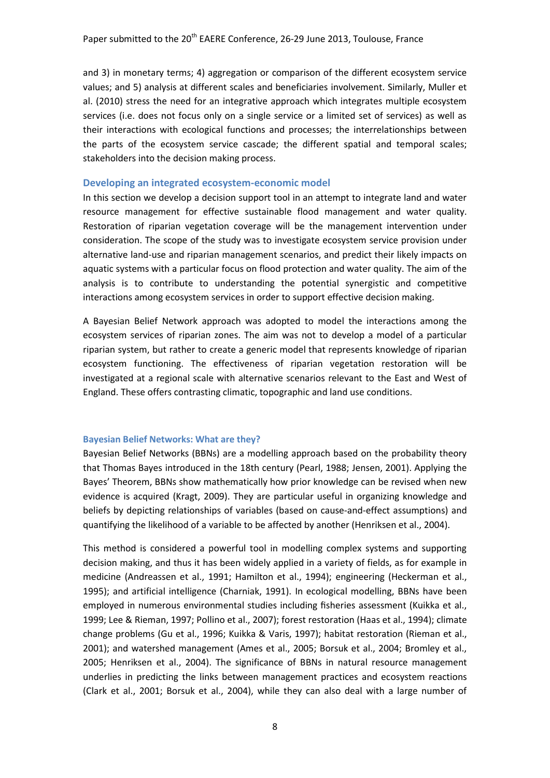and 3) in monetary terms; 4) aggregation or comparison of the different ecosystem service values; and 5) analysis at different scales and beneficiaries involvement. Similarly, Muller et al. (2010) stress the need for an integrative approach which integrates multiple ecosystem services (i.e. does not focus only on a single service or a limited set of services) as well as their interactions with ecological functions and processes; the interrelationships between the parts of the ecosystem service cascade; the different spatial and temporal scales; stakeholders into the decision making process.

#### **Developing an integrated ecosystem-economic model**

In this section we develop a decision support tool in an attempt to integrate land and water resource management for effective sustainable flood management and water quality. Restoration of riparian vegetation coverage will be the management intervention under consideration. The scope of the study was to investigate ecosystem service provision under alternative land-use and riparian management scenarios, and predict their likely impacts on aquatic systems with a particular focus on flood protection and water quality. The aim of the analysis is to contribute to understanding the potential synergistic and competitive interactions among ecosystem services in order to support effective decision making.

A Bayesian Belief Network approach was adopted to model the interactions among the ecosystem services of riparian zones. The aim was not to develop a model of a particular riparian system, but rather to create a generic model that represents knowledge of riparian ecosystem functioning. The effectiveness of riparian vegetation restoration will be investigated at a regional scale with alternative scenarios relevant to the East and West of England. These offers contrasting climatic, topographic and land use conditions.

#### **Bayesian Belief Networks: What are they?**

Bayesian Belief Networks (BBNs) are a modelling approach based on the probability theory that Thomas Bayes introduced in the 18th century (Pearl, 1988; Jensen, 2001). Applying the Bayes' Theorem, BBNs show mathematically how prior knowledge can be revised when new evidence is acquired (Kragt, 2009). They are particular useful in organizing knowledge and beliefs by depicting relationships of variables (based on cause-and-effect assumptions) and quantifying the likelihood of a variable to be affected by another (Henriksen et al., 2004).

This method is considered a powerful tool in modelling complex systems and supporting decision making, and thus it has been widely applied in a variety of fields, as for example in medicine (Andreassen et al., 1991; Hamilton et al., 1994); engineering (Heckerman et al., 1995); and artificial intelligence (Charniak, 1991). In ecological modelling, BBNs have been employed in numerous environmental studies including fisheries assessment (Kuikka et al., 1999; Lee & Rieman, 1997; Pollino et al., 2007); forest restoration (Haas et al., 1994); climate change problems (Gu et al., 1996; Kuikka & Varis, 1997); habitat restoration (Rieman et al., 2001); and watershed management (Ames et al., 2005; Borsuk et al., 2004; Bromley et al., 2005; Henriksen et al., 2004). The significance of BBNs in natural resource management underlies in predicting the links between management practices and ecosystem reactions (Clark et al., 2001; Borsuk et al., 2004), while they can also deal with a large number of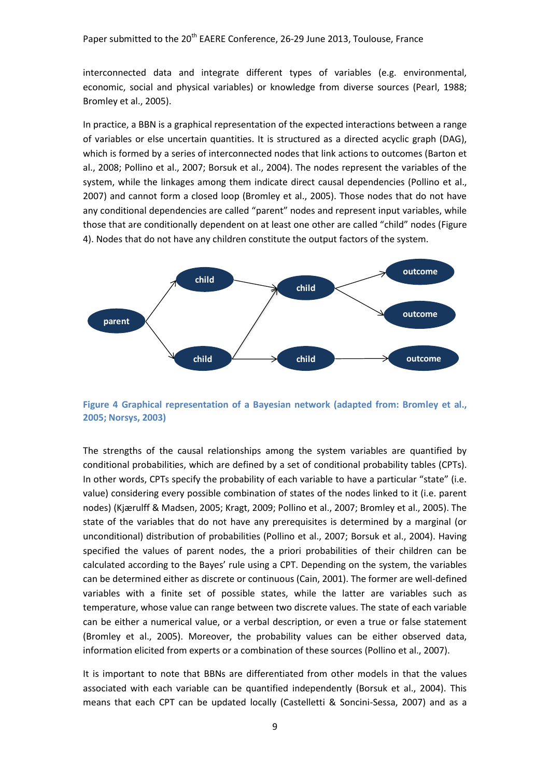interconnected data and integrate different types of variables (e.g. environmental, economic, social and physical variables) or knowledge from diverse sources (Pearl, 1988; Bromley et al., 2005).

In practice, a BBN is a graphical representation of the expected interactions between a range of variables or else uncertain quantities. It is structured as a directed acyclic graph (DAG), which is formed by a series of interconnected nodes that link actions to outcomes (Barton et al., 2008; Pollino et al., 2007; Borsuk et al., 2004). The nodes represent the variables of the system, while the linkages among them indicate direct causal dependencies (Pollino et al., 2007) and cannot form a closed loop (Bromley et al., 2005). Those nodes that do not have any conditional dependencies are called "parent" nodes and represent input variables, while those that are conditionally dependent on at least one other are called "child" nodes ([Figure](#page-8-0)  [4\)](#page-8-0). Nodes that do not have any children constitute the output factors of the system.



<span id="page-8-0"></span>**Figure 4 Graphical representation of a Bayesian network (adapted from: Bromley et al., 2005; Norsys, 2003)**

The strengths of the causal relationships among the system variables are quantified by conditional probabilities, which are defined by a set of conditional probability tables (CPTs). In other words, CPTs specify the probability of each variable to have a particular "state" (i.e. value) considering every possible combination of states of the nodes linked to it (i.e. parent nodes) (Kjærulff & Madsen, 2005; Kragt, 2009; Pollino et al., 2007; Bromley et al., 2005). The state of the variables that do not have any prerequisites is determined by a marginal (or unconditional) distribution of probabilities (Pollino et al., 2007; Borsuk et al., 2004). Having specified the values of parent nodes, the a priori probabilities of their children can be calculated according to the Bayes' rule using a CPT. Depending on the system, the variables can be determined either as discrete or continuous (Cain, 2001). The former are well-defined variables with a finite set of possible states, while the latter are variables such as temperature, whose value can range between two discrete values. The state of each variable can be either a numerical value, or a verbal description, or even a true or false statement (Bromley et al., 2005). Moreover, the probability values can be either observed data, information elicited from experts or a combination of these sources (Pollino et al., 2007).

It is important to note that BBNs are differentiated from other models in that the values associated with each variable can be quantified independently (Borsuk et al., 2004). This means that each CPT can be updated locally (Castelletti & Soncini-Sessa, 2007) and as a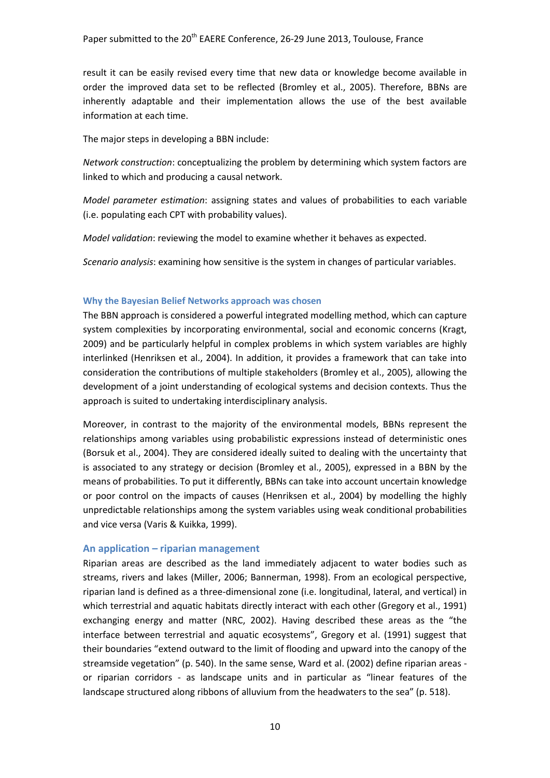result it can be easily revised every time that new data or knowledge become available in order the improved data set to be reflected (Bromley et al., 2005). Therefore, BBNs are inherently adaptable and their implementation allows the use of the best available information at each time.

The major steps in developing a BBN include:

*Network construction*: conceptualizing the problem by determining which system factors are linked to which and producing a causal network.

*Model parameter estimation*: assigning states and values of probabilities to each variable (i.e. populating each CPT with probability values).

*Model validation*: reviewing the model to examine whether it behaves as expected.

*Scenario analysis*: examining how sensitive is the system in changes of particular variables.

## **Why the Bayesian Belief Networks approach was chosen**

The BBN approach is considered a powerful integrated modelling method, which can capture system complexities by incorporating environmental, social and economic concerns (Kragt, 2009) and be particularly helpful in complex problems in which system variables are highly interlinked (Henriksen et al., 2004). In addition, it provides a framework that can take into consideration the contributions of multiple stakeholders (Bromley et al., 2005), allowing the development of a joint understanding of ecological systems and decision contexts. Thus the approach is suited to undertaking interdisciplinary analysis.

Moreover, in contrast to the majority of the environmental models, BBNs represent the relationships among variables using probabilistic expressions instead of deterministic ones (Borsuk et al., 2004). They are considered ideally suited to dealing with the uncertainty that is associated to any strategy or decision (Bromley et al., 2005), expressed in a BBN by the means of probabilities. To put it differently, BBNs can take into account uncertain knowledge or poor control on the impacts of causes (Henriksen et al., 2004) by modelling the highly unpredictable relationships among the system variables using weak conditional probabilities and vice versa (Varis & Kuikka, 1999).

## **An application – riparian management**

Riparian areas are described as the land immediately adjacent to water bodies such as streams, rivers and lakes (Miller, 2006; Bannerman, 1998). From an ecological perspective, riparian land is defined as a three-dimensional zone (i.e. longitudinal, lateral, and vertical) in which terrestrial and aquatic habitats directly interact with each other (Gregory et al., 1991) exchanging energy and matter (NRC, 2002). Having described these areas as the "the interface between terrestrial and aquatic ecosystems", Gregory et al. (1991) suggest that their boundaries "extend outward to the limit of flooding and upward into the canopy of the streamside vegetation" (p. 540). In the same sense, Ward et al. (2002) define riparian areas or riparian corridors - as landscape units and in particular as "linear features of the landscape structured along ribbons of alluvium from the headwaters to the sea" (p. 518).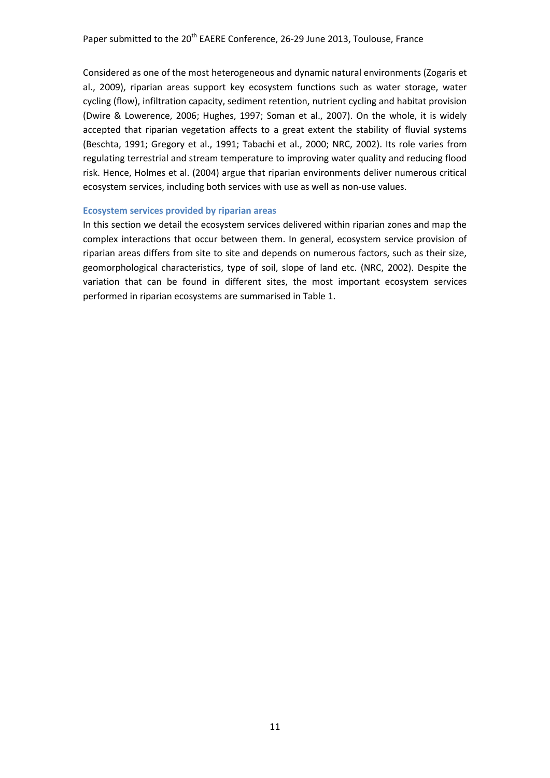Considered as one of the most heterogeneous and dynamic natural environments (Zogaris et al., 2009), riparian areas support key ecosystem functions such as water storage, water cycling (flow), infiltration capacity, sediment retention, nutrient cycling and habitat provision (Dwire & Lowerence, 2006; Hughes, 1997; Soman et al., 2007). On the whole, it is widely accepted that riparian vegetation affects to a great extent the stability of fluvial systems (Beschta, 1991; Gregory et al., 1991; Tabachi et al., 2000; NRC, 2002). Its role varies from regulating terrestrial and stream temperature to improving water quality and reducing flood risk. Hence, Holmes et al. (2004) argue that riparian environments deliver numerous critical ecosystem services, including both services with use as well as non-use values.

#### **Ecosystem services provided by riparian areas**

In this section we detail the ecosystem services delivered within riparian zones and map the complex interactions that occur between them. In general, ecosystem service provision of riparian areas differs from site to site and depends on numerous factors, such as their size, geomorphological characteristics, type of soil, slope of land etc. (NRC, 2002). Despite the variation that can be found in different sites, the most important ecosystem services performed in riparian ecosystems are summarised in [Table 1.](#page-11-0)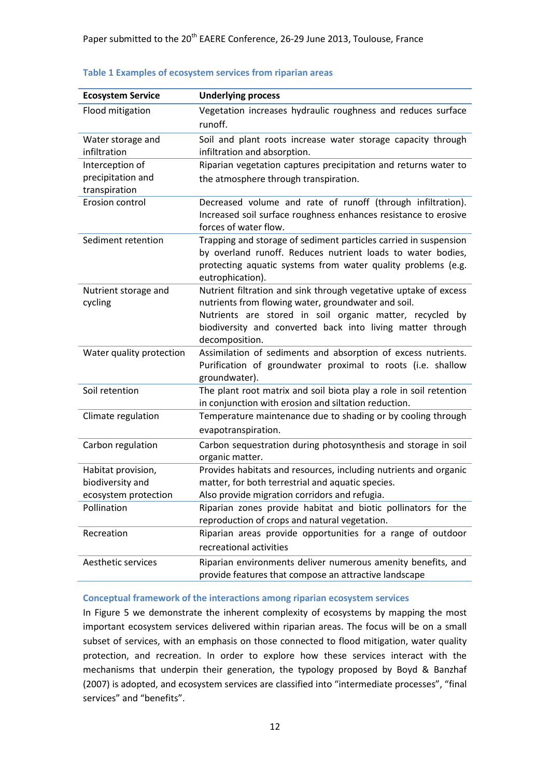| <b>Ecosystem Service</b>                                       | <b>Underlying process</b>                                                                                                                                                                                                                                           |
|----------------------------------------------------------------|---------------------------------------------------------------------------------------------------------------------------------------------------------------------------------------------------------------------------------------------------------------------|
| Flood mitigation                                               | Vegetation increases hydraulic roughness and reduces surface<br>runoff.                                                                                                                                                                                             |
| Water storage and<br>infiltration                              | Soil and plant roots increase water storage capacity through<br>infiltration and absorption.                                                                                                                                                                        |
| Interception of<br>precipitation and<br>transpiration          | Riparian vegetation captures precipitation and returns water to<br>the atmosphere through transpiration.                                                                                                                                                            |
| Erosion control                                                | Decreased volume and rate of runoff (through infiltration).<br>Increased soil surface roughness enhances resistance to erosive<br>forces of water flow.                                                                                                             |
| Sediment retention                                             | Trapping and storage of sediment particles carried in suspension<br>by overland runoff. Reduces nutrient loads to water bodies,<br>protecting aquatic systems from water quality problems (e.g.<br>eutrophication).                                                 |
| Nutrient storage and<br>cycling                                | Nutrient filtration and sink through vegetative uptake of excess<br>nutrients from flowing water, groundwater and soil.<br>Nutrients are stored in soil organic matter, recycled by<br>biodiversity and converted back into living matter through<br>decomposition. |
| Water quality protection                                       | Assimilation of sediments and absorption of excess nutrients.<br>Purification of groundwater proximal to roots (i.e. shallow<br>groundwater).                                                                                                                       |
| Soil retention                                                 | The plant root matrix and soil biota play a role in soil retention<br>in conjunction with erosion and siltation reduction.                                                                                                                                          |
| Climate regulation                                             | Temperature maintenance due to shading or by cooling through<br>evapotranspiration.                                                                                                                                                                                 |
| Carbon regulation                                              | Carbon sequestration during photosynthesis and storage in soil<br>organic matter.                                                                                                                                                                                   |
| Habitat provision,<br>biodiversity and<br>ecosystem protection | Provides habitats and resources, including nutrients and organic<br>matter, for both terrestrial and aquatic species.<br>Also provide migration corridors and refugia.                                                                                              |
| Pollination                                                    | Riparian zones provide habitat and biotic pollinators for the<br>reproduction of crops and natural vegetation.                                                                                                                                                      |
| Recreation                                                     | Riparian areas provide opportunities for a range of outdoor<br>recreational activities                                                                                                                                                                              |
| Aesthetic services                                             | Riparian environments deliver numerous amenity benefits, and<br>provide features that compose an attractive landscape                                                                                                                                               |

#### <span id="page-11-0"></span>**Table 1 Examples of ecosystem services from riparian areas**

#### **Conceptual framework of the interactions among riparian ecosystem services**

In [Figure 5](#page-12-0) we demonstrate the inherent complexity of ecosystems by mapping the most important ecosystem services delivered within riparian areas. The focus will be on a small subset of services, with an emphasis on those connected to flood mitigation, water quality protection, and recreation. In order to explore how these services interact with the mechanisms that underpin their generation, the typology proposed by Boyd & Banzhaf (2007) is adopted, and ecosystem services are classified into "intermediate processes", "final services" and "benefits".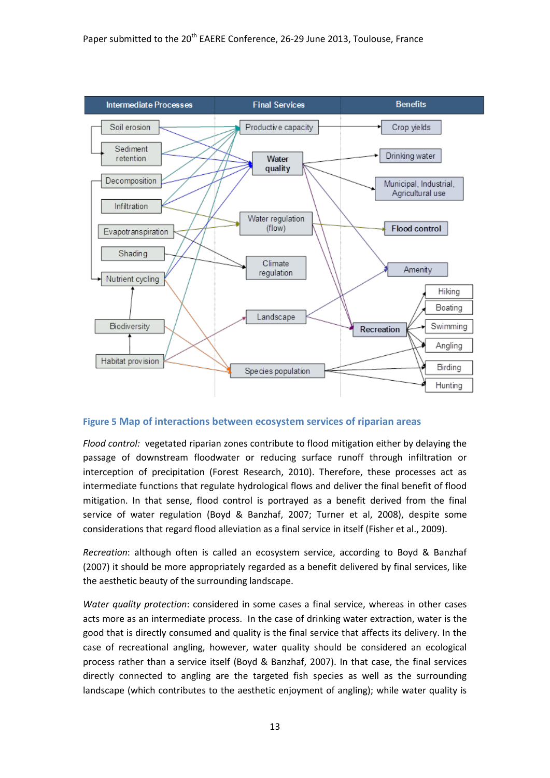

<span id="page-12-0"></span>**Figure 5 Map of interactions between ecosystem services of riparian areas**

*Flood control:* vegetated riparian zones contribute to flood mitigation either by delaying the passage of downstream floodwater or reducing surface runoff through infiltration or interception of precipitation (Forest Research, 2010). Therefore, these processes act as intermediate functions that regulate hydrological flows and deliver the final benefit of flood mitigation. In that sense, flood control is portrayed as a benefit derived from the final service of water regulation (Boyd & Banzhaf, 2007; Turner et al, 2008), despite some considerations that regard flood alleviation as a final service in itself (Fisher et al., 2009).

*Recreation*: although often is called an ecosystem service, according to Boyd & Banzhaf (2007) it should be more appropriately regarded as a benefit delivered by final services, like the aesthetic beauty of the surrounding landscape.

*Water quality protection*: considered in some cases a final service, whereas in other cases acts more as an intermediate process. In the case of drinking water extraction, water is the good that is directly consumed and quality is the final service that affects its delivery. In the case of recreational angling, however, water quality should be considered an ecological process rather than a service itself (Boyd & Banzhaf, 2007). In that case, the final services directly connected to angling are the targeted fish species as well as the surrounding landscape (which contributes to the aesthetic enjoyment of angling); while water quality is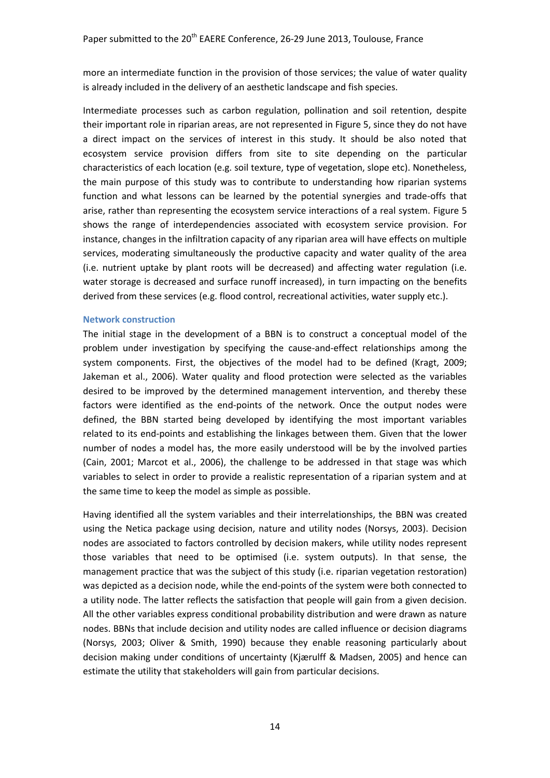more an intermediate function in the provision of those services; the value of water quality is already included in the delivery of an aesthetic landscape and fish species.

Intermediate processes such as carbon regulation, pollination and soil retention, despite their important role in riparian areas, are not represented in [Figure](#page-12-0) 5, since they do not have a direct impact on the services of interest in this study. It should be also noted that ecosystem service provision differs from site to site depending on the particular characteristics of each location (e.g. soil texture, type of vegetation, slope etc). Nonetheless, the main purpose of this study was to contribute to understanding how riparian systems function and what lessons can be learned by the potential synergies and trade-offs that arise, rather than representing the ecosystem service interactions of a real system. [Figure](#page-12-0) 5 shows the range of interdependencies associated with ecosystem service provision. For instance, changes in the infiltration capacity of any riparian area will have effects on multiple services, moderating simultaneously the productive capacity and water quality of the area (i.e. nutrient uptake by plant roots will be decreased) and affecting water regulation (i.e. water storage is decreased and surface runoff increased), in turn impacting on the benefits derived from these services (e.g. flood control, recreational activities, water supply etc.).

#### **Network construction**

The initial stage in the development of a BBN is to construct a conceptual model of the problem under investigation by specifying the cause-and-effect relationships among the system components. First, the objectives of the model had to be defined (Kragt, 2009; Jakeman et al., 2006). Water quality and flood protection were selected as the variables desired to be improved by the determined management intervention, and thereby these factors were identified as the end-points of the network. Once the output nodes were defined, the BBN started being developed by identifying the most important variables related to its end-points and establishing the linkages between them. Given that the lower number of nodes a model has, the more easily understood will be by the involved parties (Cain, 2001; Marcot et al., 2006), the challenge to be addressed in that stage was which variables to select in order to provide a realistic representation of a riparian system and at the same time to keep the model as simple as possible.

Having identified all the system variables and their interrelationships, the BBN was created using the Netica package using decision, nature and utility nodes (Norsys, 2003). Decision nodes are associated to factors controlled by decision makers, while utility nodes represent those variables that need to be optimised (i.e. system outputs). In that sense, the management practice that was the subject of this study (i.e. riparian vegetation restoration) was depicted as a decision node, while the end-points of the system were both connected to a utility node. The latter reflects the satisfaction that people will gain from a given decision. All the other variables express conditional probability distribution and were drawn as nature nodes. BBNs that include decision and utility nodes are called influence or decision diagrams (Norsys, 2003; Oliver & Smith, 1990) because they enable reasoning particularly about decision making under conditions of uncertainty (Kjærulff & Madsen, 2005) and hence can estimate the utility that stakeholders will gain from particular decisions.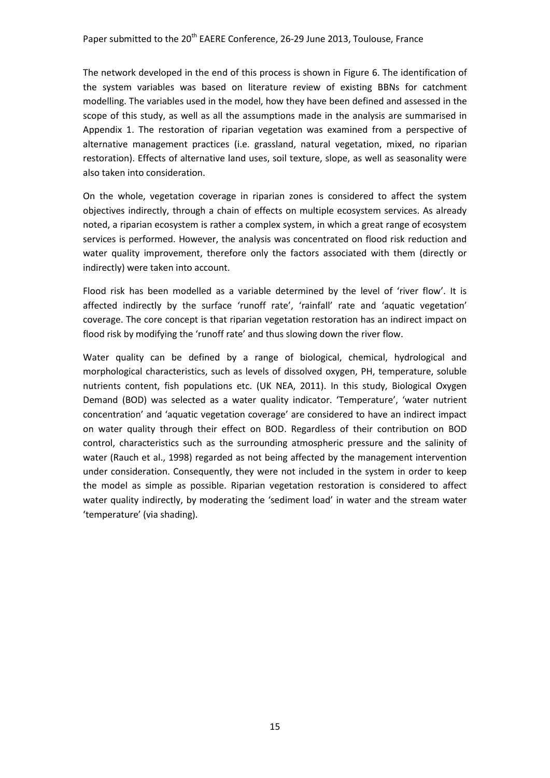The network developed in the end of this process is shown in [Figure 6.](#page-15-0) The identification of the system variables was based on literature review of existing BBNs for catchment modelling. The variables used in the model, how they have been defined and assessed in the scope of this study, as well as all the assumptions made in the analysis are summarised in Appendix 1. The restoration of riparian vegetation was examined from a perspective of alternative management practices (i.e. grassland, natural vegetation, mixed, no riparian restoration). Effects of alternative land uses, soil texture, slope, as well as seasonality were also taken into consideration.

On the whole, vegetation coverage in riparian zones is considered to affect the system objectives indirectly, through a chain of effects on multiple ecosystem services. As already noted, a riparian ecosystem is rather a complex system, in which a great range of ecosystem services is performed. However, the analysis was concentrated on flood risk reduction and water quality improvement, therefore only the factors associated with them (directly or indirectly) were taken into account.

Flood risk has been modelled as a variable determined by the level of 'river flow'. It is affected indirectly by the surface 'runoff rate', 'rainfall' rate and 'aquatic vegetation' coverage. The core concept is that riparian vegetation restoration has an indirect impact on flood risk by modifying the 'runoff rate' and thus slowing down the river flow.

Water quality can be defined by a range of biological, chemical, hydrological and morphological characteristics, such as levels of dissolved oxygen, PH, temperature, soluble nutrients content, fish populations etc. (UK NEA, 2011). In this study, Biological Oxygen Demand (BOD) was selected as a water quality indicator. 'Temperature', 'water nutrient concentration' and 'aquatic vegetation coverage' are considered to have an indirect impact on water quality through their effect on BOD. Regardless of their contribution on BOD control, characteristics such as the surrounding atmospheric pressure and the salinity of water (Rauch et al., 1998) regarded as not being affected by the management intervention under consideration. Consequently, they were not included in the system in order to keep the model as simple as possible. Riparian vegetation restoration is considered to affect water quality indirectly, by moderating the 'sediment load' in water and the stream water 'temperature' (via shading).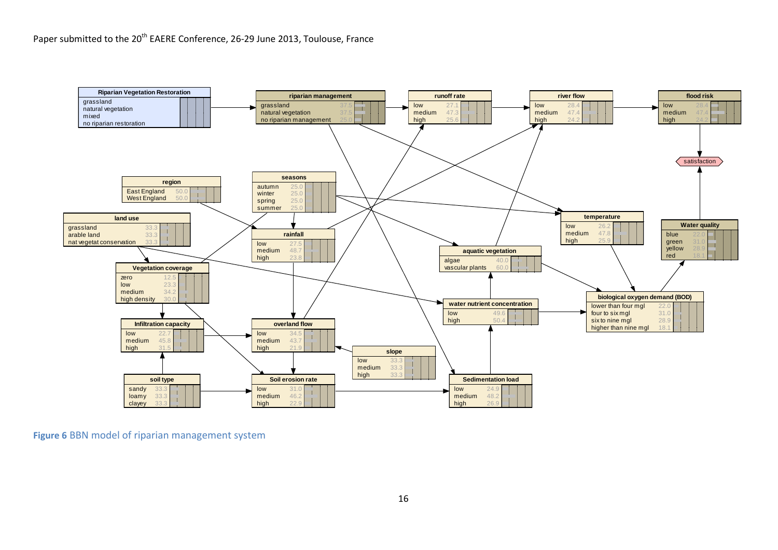

<span id="page-15-0"></span>**Figure 6** BBN model of riparian management system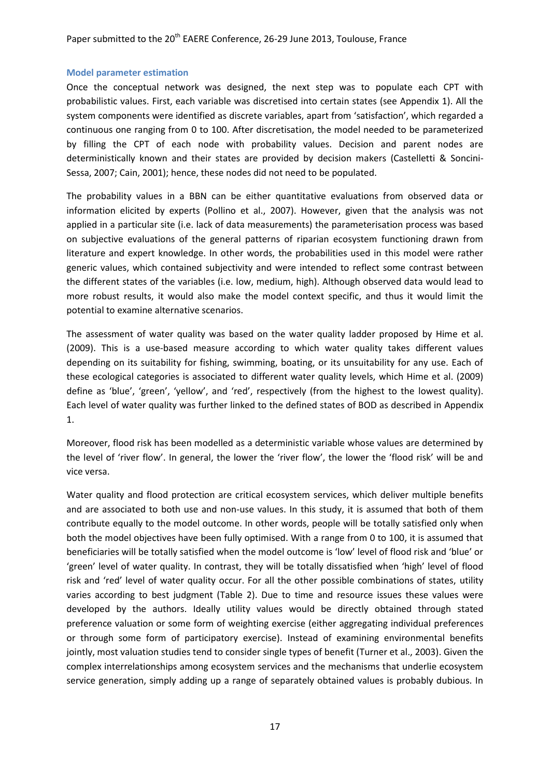#### **Model parameter estimation**

Once the conceptual network was designed, the next step was to populate each CPT with probabilistic values. First, each variable was discretised into certain states (see Appendix 1). All the system components were identified as discrete variables, apart from 'satisfaction', which regarded a continuous one ranging from 0 to 100. After discretisation, the model needed to be parameterized by filling the CPT of each node with probability values. Decision and parent nodes are deterministically known and their states are provided by decision makers (Castelletti & Soncini-Sessa, 2007; Cain, 2001); hence, these nodes did not need to be populated.

The probability values in a BBN can be either quantitative evaluations from observed data or information elicited by experts (Pollino et al., 2007). However, given that the analysis was not applied in a particular site (i.e. lack of data measurements) the parameterisation process was based on subjective evaluations of the general patterns of riparian ecosystem functioning drawn from literature and expert knowledge. In other words, the probabilities used in this model were rather generic values, which contained subjectivity and were intended to reflect some contrast between the different states of the variables (i.e. low, medium, high). Although observed data would lead to more robust results, it would also make the model context specific, and thus it would limit the potential to examine alternative scenarios.

The assessment of water quality was based on the water quality ladder proposed by Hime et al. (2009). This is a use-based measure according to which water quality takes different values depending on its suitability for fishing, swimming, boating, or its unsuitability for any use. Each of these ecological categories is associated to different water quality levels, which Hime et al. (2009) define as 'blue', 'green', 'yellow', and 'red', respectively (from the highest to the lowest quality). Each level of water quality was further linked to the defined states of BOD as described in Appendix 1.

Moreover, flood risk has been modelled as a deterministic variable whose values are determined by the level of 'river flow'. In general, the lower the 'river flow', the lower the 'flood risk' will be and vice versa.

Water quality and flood protection are critical ecosystem services, which deliver multiple benefits and are associated to both use and non-use values. In this study, it is assumed that both of them contribute equally to the model outcome. In other words, people will be totally satisfied only when both the model objectives have been fully optimised. With a range from 0 to 100, it is assumed that beneficiaries will be totally satisfied when the model outcome is 'low' level of flood risk and 'blue' or 'green' level of water quality. In contrast, they will be totally dissatisfied when 'high' level of flood risk and 'red' level of water quality occur. For all the other possible combinations of states, utility varies according to best judgment [\(Table 2\)](#page-17-0). Due to time and resource issues these values were developed by the authors. Ideally utility values would be directly obtained through stated preference valuation or some form of weighting exercise (either aggregating individual preferences or through some form of participatory exercise). Instead of examining environmental benefits jointly, most valuation studies tend to consider single types of benefit (Turner et al., 2003). Given the complex interrelationships among ecosystem services and the mechanisms that underlie ecosystem service generation, simply adding up a range of separately obtained values is probably dubious. In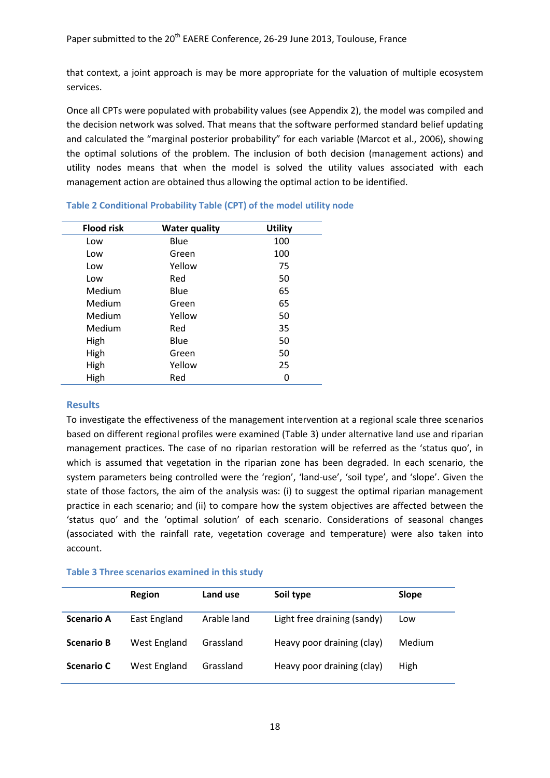that context, a joint approach is may be more appropriate for the valuation of multiple ecosystem services.

Once all CPTs were populated with probability values (see Appendix 2), the model was compiled and the decision network was solved. That means that the software performed standard belief updating and calculated the "marginal posterior probability" for each variable (Marcot et al., 2006), showing the optimal solutions of the problem. The inclusion of both decision (management actions) and utility nodes means that when the model is solved the utility values associated with each management action are obtained thus allowing the optimal action to be identified.

| <b>Flood risk</b> | <b>Water quality</b> | <b>Utility</b> |
|-------------------|----------------------|----------------|
| Low               | Blue                 | 100            |
| Low               | Green                | 100            |
| Low               | Yellow               | 75             |
| Low               | Red                  | 50             |
| Medium            | Blue                 | 65             |
| Medium            | Green                | 65             |
| Medium            | Yellow               | 50             |
| Medium            | Red                  | 35             |
| High              | Blue                 | 50             |
| High              | Green                | 50             |
| High              | Yellow               | 25             |
| High              | Red                  | 0              |

## <span id="page-17-0"></span>**Table 2 Conditional Probability Table (CPT) of the model utility node**

## **Results**

To investigate the effectiveness of the management intervention at a regional scale three scenarios based on different regional profiles were examined [\(Table 3\)](#page-17-1) under alternative land use and riparian management practices. The case of no riparian restoration will be referred as the 'status quo', in which is assumed that vegetation in the riparian zone has been degraded. In each scenario, the system parameters being controlled were the 'region', 'land-use', 'soil type', and 'slope'. Given the state of those factors, the aim of the analysis was: (i) to suggest the optimal riparian management practice in each scenario; and (ii) to compare how the system objectives are affected between the 'status quo' and the 'optimal solution' of each scenario. Considerations of seasonal changes (associated with the rainfall rate, vegetation coverage and temperature) were also taken into account.

## <span id="page-17-1"></span>**Table 3 Three scenarios examined in this study**

|                   | Region       | Land use    | Soil type                   | <b>Slope</b>  |
|-------------------|--------------|-------------|-----------------------------|---------------|
| <b>Scenario A</b> | East England | Arable land | Light free draining (sandy) | Low           |
| <b>Scenario B</b> | West England | Grassland   | Heavy poor draining (clay)  | <b>Medium</b> |
| <b>Scenario C</b> | West England | Grassland   | Heavy poor draining (clay)  | <b>High</b>   |
|                   |              |             |                             |               |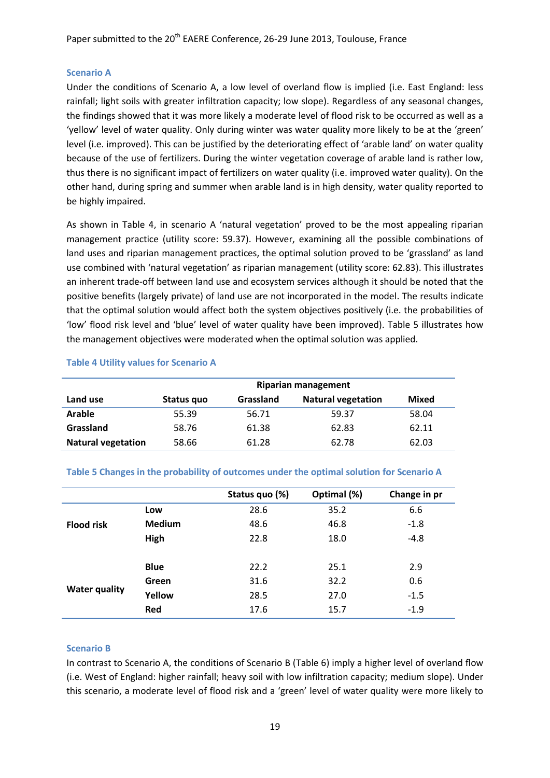## **Scenario A**

Under the conditions of Scenario A, a low level of overland flow is implied (i.e. East England: less rainfall; light soils with greater infiltration capacity; low slope). Regardless of any seasonal changes, the findings showed that it was more likely a moderate level of flood risk to be occurred as well as a 'yellow' level of water quality. Only during winter was water quality more likely to be at the 'green' level (i.e. improved). This can be justified by the deteriorating effect of 'arable land' on water quality because of the use of fertilizers. During the winter vegetation coverage of arable land is rather low, thus there is no significant impact of fertilizers on water quality (i.e. improved water quality). On the other hand, during spring and summer when arable land is in high density, water quality reported to be highly impaired.

As shown in [Table 4,](#page-18-0) in scenario A 'natural vegetation' proved to be the most appealing riparian management practice (utility score: 59.37). However, examining all the possible combinations of land uses and riparian management practices, the optimal solution proved to be 'grassland' as land use combined with 'natural vegetation' as riparian management (utility score: 62.83). This illustrates an inherent trade-off between land use and ecosystem services although it should be noted that the positive benefits (largely private) of land use are not incorporated in the model. The results indicate that the optimal solution would affect both the system objectives positively (i.e. the probabilities of 'low' flood risk level and 'blue' level of water quality have been improved). [Table 5](#page-18-1) illustrates how the management objectives were moderated when the optimal solution was applied.

|                           | <b>Riparian management</b> |                  |                           |       |  |
|---------------------------|----------------------------|------------------|---------------------------|-------|--|
| Land use                  | Status quo                 | <b>Grassland</b> | <b>Natural vegetation</b> | Mixed |  |
| Arable                    | 55.39                      | 56.71            | 59.37                     | 58.04 |  |
| Grassland                 | 58.76                      | 61.38            | 62.83                     | 62.11 |  |
| <b>Natural vegetation</b> | 58.66                      | 61.28            | 62.78                     | 62.03 |  |

#### <span id="page-18-0"></span>**Table 4 Utility values for Scenario A**

#### <span id="page-18-1"></span>**Table 5 Changes in the probability of outcomes under the optimal solution for Scenario A**

|                      |               | Status quo (%) | Optimal (%) | Change in pr |
|----------------------|---------------|----------------|-------------|--------------|
|                      | Low           | 28.6           | 35.2        | 6.6          |
| <b>Flood risk</b>    | <b>Medium</b> | 48.6           | 46.8        | $-1.8$       |
|                      | High          | 22.8           | 18.0        | $-4.8$       |
|                      |               |                |             |              |
|                      | <b>Blue</b>   | 22.2           | 25.1        | 2.9          |
|                      | Green         | 31.6           | 32.2        | 0.6          |
| <b>Water quality</b> | Yellow        | 28.5           | 27.0        | $-1.5$       |
|                      | Red           | 17.6           | 15.7        | $-1.9$       |

## **Scenario B**

In contrast to Scenario A, the conditions of Scenario B [\(Table](#page-19-0) 6) imply a higher level of overland flow (i.e. West of England: higher rainfall; heavy soil with low infiltration capacity; medium slope). Under this scenario, a moderate level of flood risk and a 'green' level of water quality were more likely to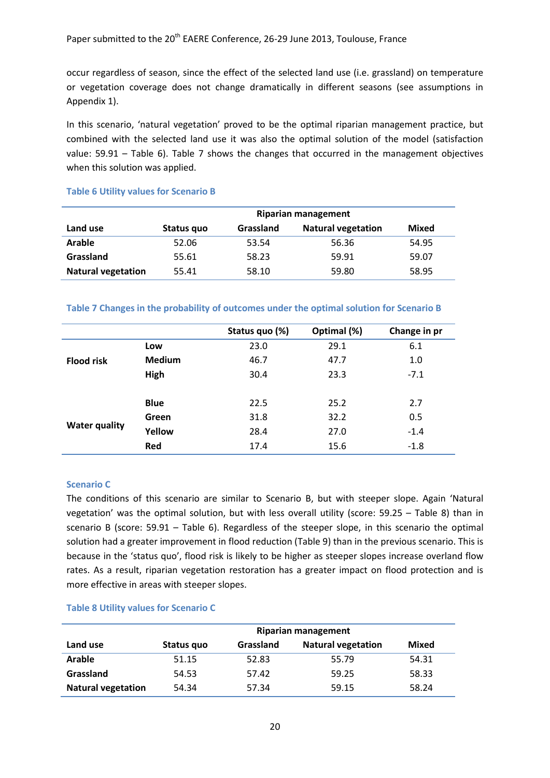occur regardless of season, since the effect of the selected land use (i.e. grassland) on temperature or vegetation coverage does not change dramatically in different seasons (see assumptions in Appendix 1).

In this scenario, 'natural vegetation' proved to be the optimal riparian management practice, but combined with the selected land use it was also the optimal solution of the model (satisfaction value: 59.91 – [Table](#page-19-0) 6). [Table 7](#page-19-1) shows the changes that occurred in the management objectives when this solution was applied.

## <span id="page-19-0"></span>**Table 6 Utility values for Scenario B**

|                           | <b>Riparian management</b> |                  |                           |       |  |
|---------------------------|----------------------------|------------------|---------------------------|-------|--|
| Land use                  | Status quo                 | <b>Grassland</b> | <b>Natural vegetation</b> | Mixed |  |
| <b>Arable</b>             | 52.06                      | 53.54            | 56.36                     | 54.95 |  |
| Grassland                 | 55.61                      | 58.23            | 59.91                     | 59.07 |  |
| <b>Natural vegetation</b> | 55.41                      | 58.10            | 59.80                     | 58.95 |  |

## <span id="page-19-1"></span>**Table 7 Changes in the probability of outcomes under the optimal solution for Scenario B**

|                      |               | Status quo (%) | Optimal (%) | Change in pr |
|----------------------|---------------|----------------|-------------|--------------|
|                      | Low           | 23.0           | 29.1        | 6.1          |
| <b>Flood risk</b>    | <b>Medium</b> | 46.7           | 47.7        | 1.0          |
|                      | High          | 30.4           | 23.3        | $-7.1$       |
|                      |               |                |             |              |
|                      | <b>Blue</b>   | 22.5           | 25.2        | 2.7          |
|                      | Green         | 31.8           | 32.2        | 0.5          |
| <b>Water quality</b> | Yellow        | 28.4           | 27.0        | $-1.4$       |
|                      | <b>Red</b>    | 17.4           | 15.6        | $-1.8$       |

## **Scenario C**

The conditions of this scenario are similar to Scenario B, but with steeper slope. Again 'Natural vegetation' was the optimal solution, but with less overall utility (score: 59.25 – [Table 8\)](#page-19-2) than in scenario B (score: 59.91 – [Table](#page-19-0) 6). Regardless of the steeper slope, in this scenario the optimal solution had a greater improvement in flood reduction [\(Table 9\)](#page-20-0) than in the previous scenario. This is because in the 'status quo', flood risk is likely to be higher as steeper slopes increase overland flow rates. As a result, riparian vegetation restoration has a greater impact on flood protection and is more effective in areas with steeper slopes.

## <span id="page-19-2"></span>**Table 8 Utility values for Scenario C**

|                           | Riparian management |           |                           |       |  |
|---------------------------|---------------------|-----------|---------------------------|-------|--|
| Land use                  | Status quo          | Grassland | <b>Natural vegetation</b> | Mixed |  |
| <b>Arable</b>             | 51.15               | 52.83     | 55.79                     | 54.31 |  |
| Grassland                 | 54.53               | 57.42     | 59.25                     | 58.33 |  |
| <b>Natural vegetation</b> | 54.34               | 57.34     | 59.15                     | 58.24 |  |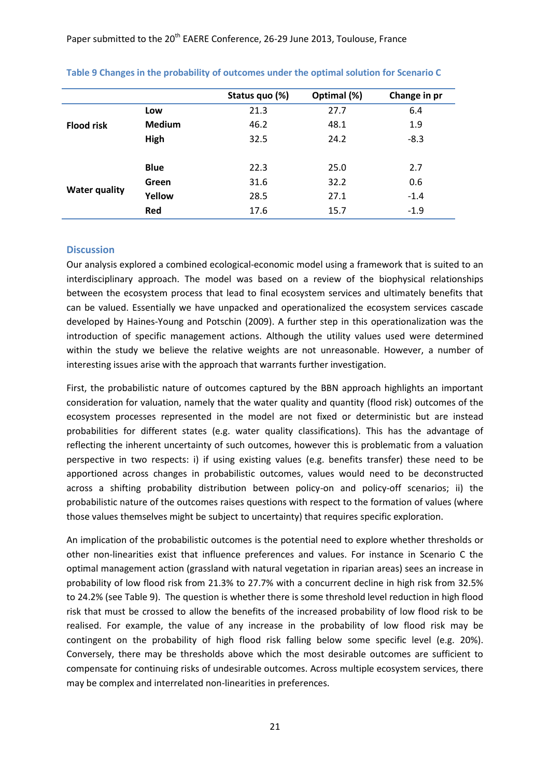**Table 9 Changes in the probability of outcomes under the optimal solution for Scenario C**

Paper submitted to the 20<sup>th</sup> EAERE Conference, 26-29 June 2013, Toulouse, France

<span id="page-20-0"></span>

|                      |               | Status quo (%) | Optimal (%) | Change in pr |
|----------------------|---------------|----------------|-------------|--------------|
|                      | Low           | 21.3           | 27.7        | 6.4          |
| <b>Flood risk</b>    | <b>Medium</b> | 46.2           | 48.1        | 1.9          |
|                      | High          | 32.5           | 24.2        | $-8.3$       |
|                      |               |                |             |              |
|                      | <b>Blue</b>   | 22.3           | 25.0        | 2.7          |
|                      | Green         | 31.6           | 32.2        | 0.6          |
| <b>Water quality</b> | Yellow        | 28.5           | 27.1        | $-1.4$       |
|                      | Red           | 17.6           | 15.7        | $-1.9$       |

## **Discussion**

Our analysis explored a combined ecological-economic model using a framework that is suited to an interdisciplinary approach. The model was based on a review of the biophysical relationships between the ecosystem process that lead to final ecosystem services and ultimately benefits that can be valued. Essentially we have unpacked and operationalized the ecosystem services cascade developed by Haines-Young and Potschin (2009). A further step in this operationalization was the introduction of specific management actions. Although the utility values used were determined within the study we believe the relative weights are not unreasonable. However, a number of interesting issues arise with the approach that warrants further investigation.

First, the probabilistic nature of outcomes captured by the BBN approach highlights an important consideration for valuation, namely that the water quality and quantity (flood risk) outcomes of the ecosystem processes represented in the model are not fixed or deterministic but are instead probabilities for different states (e.g. water quality classifications). This has the advantage of reflecting the inherent uncertainty of such outcomes, however this is problematic from a valuation perspective in two respects: i) if using existing values (e.g. benefits transfer) these need to be apportioned across changes in probabilistic outcomes, values would need to be deconstructed across a shifting probability distribution between policy-on and policy-off scenarios; ii) the probabilistic nature of the outcomes raises questions with respect to the formation of values (where those values themselves might be subject to uncertainty) that requires specific exploration.

An implication of the probabilistic outcomes is the potential need to explore whether thresholds or other non-linearities exist that influence preferences and values. For instance in Scenario C the optimal management action (grassland with natural vegetation in riparian areas) sees an increase in probability of low flood risk from 21.3% to 27.7% with a concurrent decline in high risk from 32.5% to 24.2% (see [Table 9\)](#page-20-0). The question is whether there is some threshold level reduction in high flood risk that must be crossed to allow the benefits of the increased probability of low flood risk to be realised. For example, the value of any increase in the probability of low flood risk may be contingent on the probability of high flood risk falling below some specific level (e.g. 20%). Conversely, there may be thresholds above which the most desirable outcomes are sufficient to compensate for continuing risks of undesirable outcomes. Across multiple ecosystem services, there may be complex and interrelated non-linearities in preferences.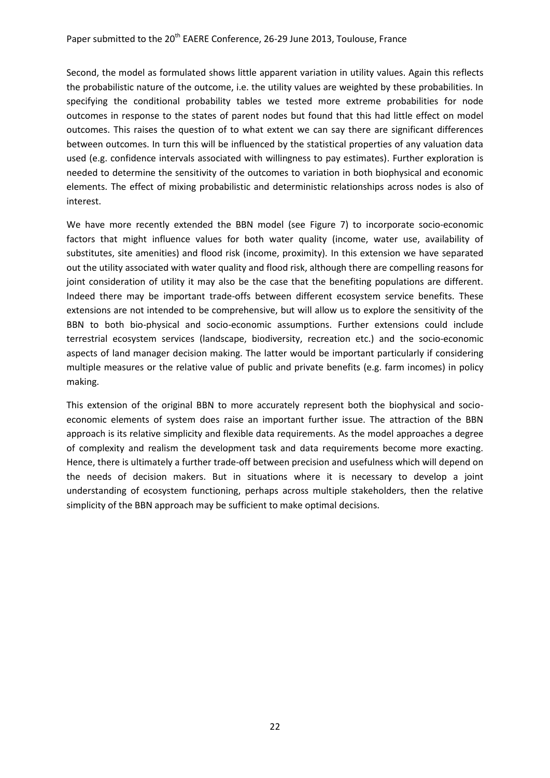Second, the model as formulated shows little apparent variation in utility values. Again this reflects the probabilistic nature of the outcome, i.e. the utility values are weighted by these probabilities. In specifying the conditional probability tables we tested more extreme probabilities for node outcomes in response to the states of parent nodes but found that this had little effect on model outcomes. This raises the question of to what extent we can say there are significant differences between outcomes. In turn this will be influenced by the statistical properties of any valuation data used (e.g. confidence intervals associated with willingness to pay estimates). Further exploration is needed to determine the sensitivity of the outcomes to variation in both biophysical and economic elements. The effect of mixing probabilistic and deterministic relationships across nodes is also of interest.

We have more recently extended the BBN model (see [Figure 7\)](#page-22-0) to incorporate socio-economic factors that might influence values for both water quality (income, water use, availability of substitutes, site amenities) and flood risk (income, proximity). In this extension we have separated out the utility associated with water quality and flood risk, although there are compelling reasons for joint consideration of utility it may also be the case that the benefiting populations are different. Indeed there may be important trade-offs between different ecosystem service benefits. These extensions are not intended to be comprehensive, but will allow us to explore the sensitivity of the BBN to both bio-physical and socio-economic assumptions. Further extensions could include terrestrial ecosystem services (landscape, biodiversity, recreation etc.) and the socio-economic aspects of land manager decision making. The latter would be important particularly if considering multiple measures or the relative value of public and private benefits (e.g. farm incomes) in policy making.

This extension of the original BBN to more accurately represent both the biophysical and socioeconomic elements of system does raise an important further issue. The attraction of the BBN approach is its relative simplicity and flexible data requirements. As the model approaches a degree of complexity and realism the development task and data requirements become more exacting. Hence, there is ultimately a further trade-off between precision and usefulness which will depend on the needs of decision makers. But in situations where it is necessary to develop a joint understanding of ecosystem functioning, perhaps across multiple stakeholders, then the relative simplicity of the BBN approach may be sufficient to make optimal decisions.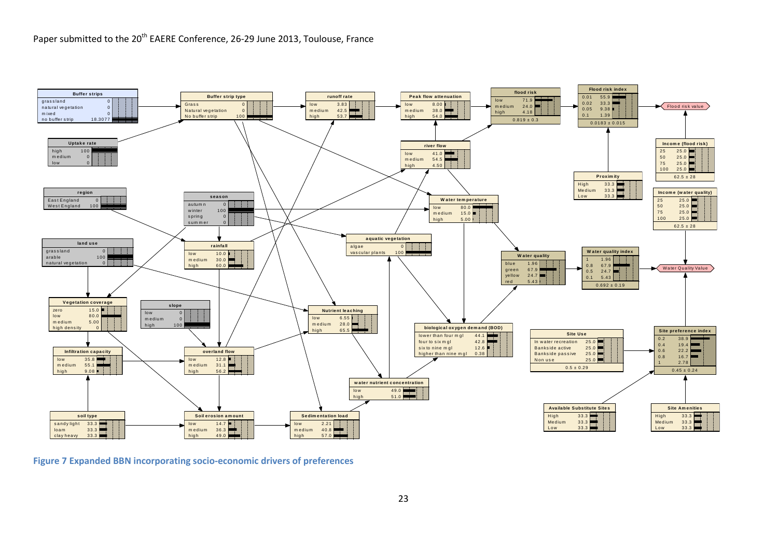

<span id="page-22-0"></span>**Figure 7 Expanded BBN incorporating socio-economic drivers of preferences**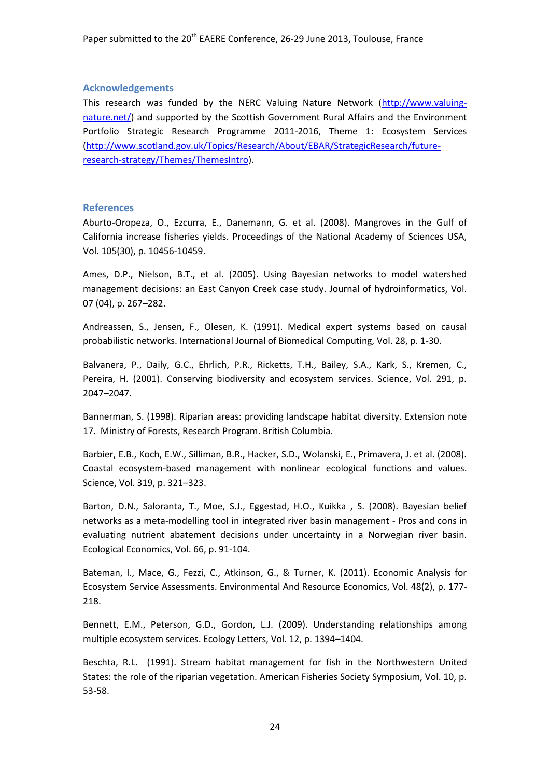## **Acknowledgements**

This research was funded by the NERC Valuing Nature Network [\(http://www.valuing](http://www.valuing-nature.net/)[nature.net/\)](http://www.valuing-nature.net/) and supported by the Scottish Government Rural Affairs and the Environment Portfolio Strategic Research Programme 2011-2016, Theme 1: Ecosystem Services [\(http://www.scotland.gov.uk/Topics/Research/About/EBAR/StrategicResearch/future](http://www.scotland.gov.uk/Topics/Research/About/EBAR/StrategicResearch/future-research-strategy/Themes/ThemesIntro)[research-strategy/Themes/ThemesIntro\)](http://www.scotland.gov.uk/Topics/Research/About/EBAR/StrategicResearch/future-research-strategy/Themes/ThemesIntro).

#### **References**

Aburto-Oropeza, O., Ezcurra, E., Danemann, G. et al. (2008). Mangroves in the Gulf of California increase fisheries yields. Proceedings of the National Academy of Sciences USA, Vol. 105(30), p. 10456-10459.

Ames, D.P., Nielson, B.T., et al. (2005). Using Bayesian networks to model watershed management decisions: an East Canyon Creek case study. Journal of hydroinformatics, Vol. 07 (04), p. 267–282.

Andreassen, S., Jensen, F., Olesen, K. (1991). Medical expert systems based on causal probabilistic networks. International Journal of Biomedical Computing, Vol. 28, p. 1-30.

Balvanera, P., Daily, G.C., Ehrlich, P.R., Ricketts, T.H., Bailey, S.A., Kark, S., Kremen, C., Pereira, H. (2001). Conserving biodiversity and ecosystem services. Science, Vol. 291, p. 2047–2047.

Bannerman, S. (1998). Riparian areas: providing landscape habitat diversity. Extension note 17. Ministry of Forests, Research Program. British Columbia.

Barbier, E.B., Koch, E.W., Silliman, B.R., Hacker, S.D., Wolanski, E., Primavera, J. et al. (2008). Coastal ecosystem-based management with nonlinear ecological functions and values. Science, Vol. 319, p. 321–323.

Barton, D.N., Saloranta, T., Moe, S.J., Eggestad, H.O., Kuikka , S. (2008). Bayesian belief networks as a meta-modelling tool in integrated river basin management - Pros and cons in evaluating nutrient abatement decisions under uncertainty in a Norwegian river basin. Ecological Economics, Vol. 66, p. 91-104.

Bateman, I., Mace, G., Fezzi, C., Atkinson, G., & Turner, K. (2011). Economic Analysis for Ecosystem Service Assessments. Environmental And Resource Economics, Vol. 48(2), p. 177- 218.

Bennett, E.M., Peterson, G.D., Gordon, L.J. (2009). Understanding relationships among multiple ecosystem services. Ecology Letters, Vol. 12, p. 1394–1404.

Beschta, R.L. (1991). Stream habitat management for fish in the Northwestern United States: the role of the riparian vegetation. American Fisheries Society Symposium, Vol. 10, p. 53-58.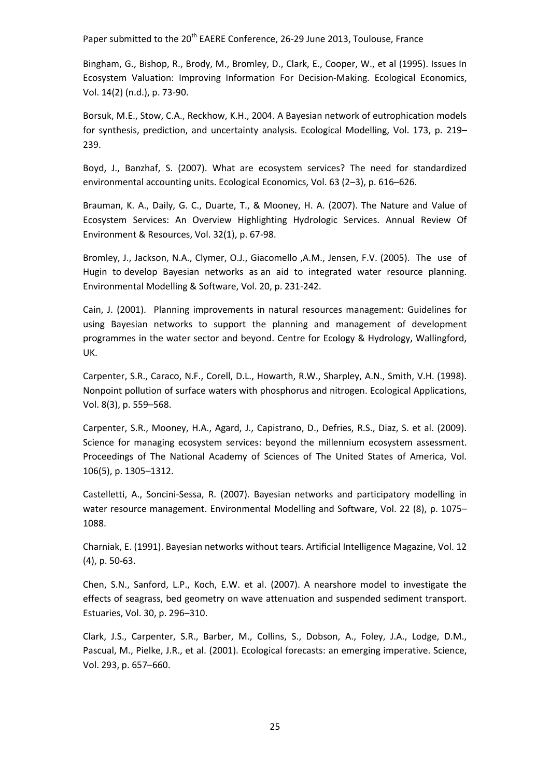Bingham, G., Bishop, R., Brody, M., Bromley, D., Clark, E., Cooper, W., et al (1995). Issues In Ecosystem Valuation: Improving Information For Decision-Making. Ecological Economics, Vol. 14(2) (n.d.), p. 73-90.

Borsuk, M.E., Stow, C.A., Reckhow, K.H., 2004. A Bayesian network of eutrophication models for synthesis, prediction, and uncertainty analysis. Ecological Modelling, Vol. 173, p. 219– 239.

Boyd, J., Banzhaf, S. (2007). What are ecosystem services? The need for standardized environmental accounting units. Ecological Economics, Vol. 63 (2–3), p. 616–626.

Brauman, K. A., Daily, G. C., Duarte, T., & Mooney, H. A. (2007). The Nature and Value of Ecosystem Services: An Overview Highlighting Hydrologic Services. Annual Review Of Environment & Resources, Vol. 32(1), p. 67-98.

Bromley, J., Jackson, N.A., Clymer, O.J., Giacomello ,A.M., Jensen, F.V. (2005). The use of Hugin to develop Bayesian networks as an aid to integrated water resource planning. Environmental Modelling & Software, Vol. 20, p. 231-242.

Cain, J. (2001). Planning improvements in natural resources management: Guidelines for using Bayesian networks to support the planning and management of development programmes in the water sector and beyond. Centre for Ecology & Hydrology, Wallingford, UK.

Carpenter, S.R., Caraco, N.F., Corell, D.L., Howarth, R.W., Sharpley, A.N., Smith, V.H. (1998). Nonpoint pollution of surface waters with phosphorus and nitrogen. Ecological Applications, Vol. 8(3), p. 559–568.

Carpenter, S.R., Mooney, H.A., Agard, J., Capistrano, D., Defries, R.S., Diaz, S. et al. (2009). Science for managing ecosystem services: beyond the millennium ecosystem assessment. Proceedings of The National Academy of Sciences of The United States of America, Vol. 106(5), p. 1305–1312.

Castelletti, A., Soncini-Sessa, R. (2007). Bayesian networks and participatory modelling in water resource management. Environmental Modelling and Software, Vol. 22 (8), p. 1075– 1088.

Charniak, E. (1991). Bayesian networks without tears. Artificial Intelligence Magazine, Vol. 12 (4), p. 50-63.

Chen, S.N., Sanford, L.P., Koch, E.W. et al. (2007). A nearshore model to investigate the effects of seagrass, bed geometry on wave attenuation and suspended sediment transport. Estuaries, Vol. 30, p. 296–310.

Clark, J.S., Carpenter, S.R., Barber, M., Collins, S., Dobson, A., Foley, J.A., Lodge, D.M., Pascual, M., Pielke, J.R., et al. (2001). Ecological forecasts: an emerging imperative. Science, Vol. 293, p. 657–660.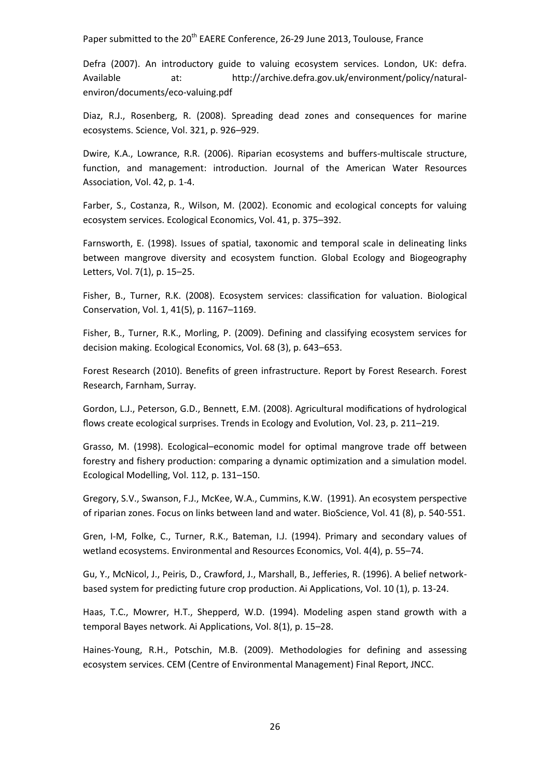Defra (2007). An introductory guide to valuing ecosystem services. London, UK: defra. Available at: http://archive.defra.gov.uk/environment/policy/naturalenviron/documents/eco-valuing.pdf

Diaz, R.J., Rosenberg, R. (2008). Spreading dead zones and consequences for marine ecosystems. Science, Vol. 321, p. 926–929.

Dwire, K.A., Lowrance, R.R. (2006). Riparian ecosystems and buffers-multiscale structure, function, and management: introduction. Journal of the American Water Resources Association, Vol. 42, p. 1-4.

Farber, S., Costanza, R., Wilson, M. (2002). Economic and ecological concepts for valuing ecosystem services. Ecological Economics, Vol. 41, p. 375–392.

Farnsworth, E. (1998). Issues of spatial, taxonomic and temporal scale in delineating links between mangrove diversity and ecosystem function. Global Ecology and Biogeography Letters, Vol. 7(1), p. 15–25.

Fisher, B., Turner, R.K. (2008). Ecosystem services: classification for valuation. Biological Conservation, Vol. 1, 41(5), p. 1167–1169.

Fisher, B., Turner, R.K., Morling, P. (2009). Defining and classifying ecosystem services for decision making. Ecological Economics, Vol. 68 (3), p. 643–653.

Forest Research (2010). Benefits of green infrastructure. Report by Forest Research. Forest Research, Farnham, Surray.

Gordon, L.J., Peterson, G.D., Bennett, E.M. (2008). Agricultural modifications of hydrological flows create ecological surprises. Trends in Ecology and Evolution, Vol. 23, p. 211–219.

Grasso, M. (1998). Ecological–economic model for optimal mangrove trade off between forestry and fishery production: comparing a dynamic optimization and a simulation model. Ecological Modelling, Vol. 112, p. 131–150.

Gregory, S.V., Swanson, F.J., McKee, W.A., Cummins, K.W. (1991). An ecosystem perspective of riparian zones. Focus on links between land and water. BioScience, Vol. 41 (8), p. 540-551.

Gren, I-M, Folke, C., Turner, R.K., Bateman, I.J. (1994). Primary and secondary values of wetland ecosystems. Environmental and Resources Economics, Vol. 4(4), p. 55–74.

Gu, Y., McNicol, J., Peiris, D., Crawford, J., Marshall, B., Jefferies, R. (1996). A belief networkbased system for predicting future crop production. Ai Applications, Vol. 10 (1), p. 13-24.

Haas, T.C., Mowrer, H.T., Shepperd, W.D. (1994). Modeling aspen stand growth with a temporal Bayes network. Ai Applications, Vol. 8(1), p. 15–28.

Haines-Young, R.H., Potschin, M.B. (2009). Methodologies for defining and assessing ecosystem services. CEM (Centre of Environmental Management) Final Report, JNCC.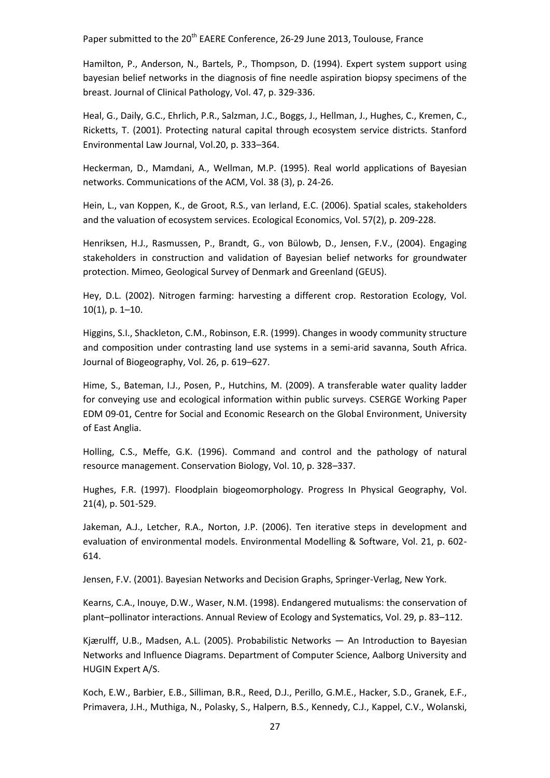Hamilton, P., Anderson, N., Bartels, P., Thompson, D. (1994). Expert system support using bayesian belief networks in the diagnosis of fine needle aspiration biopsy specimens of the breast. Journal of Clinical Pathology, Vol. 47, p. 329-336.

Heal, G., Daily, G.C., Ehrlich, P.R., Salzman, J.C., Boggs, J., Hellman, J., Hughes, C., Kremen, C., Ricketts, T. (2001). Protecting natural capital through ecosystem service districts. Stanford Environmental Law Journal, Vol.20, p. 333–364.

Heckerman, D., Mamdani, A., Wellman, M.P. (1995). Real world applications of Bayesian networks. Communications of the ACM, Vol. 38 (3), p. 24-26.

Hein, L., van Koppen, K., de Groot, R.S., van Ierland, E.C. (2006). Spatial scales, stakeholders and the valuation of ecosystem services. Ecological Economics, Vol. 57(2), p. 209-228.

Henriksen, H.J., Rasmussen, P., Brandt, G., von Bülowb, D., Jensen, F.V., (2004). Engaging stakeholders in construction and validation of Bayesian belief networks for groundwater protection. Mimeo, Geological Survey of Denmark and Greenland (GEUS).

Hey, D.L. (2002). Nitrogen farming: harvesting a different crop. Restoration Ecology, Vol. 10(1), p. 1–10.

Higgins, S.I., Shackleton, C.M., Robinson, E.R. (1999). Changes in woody community structure and composition under contrasting land use systems in a semi-arid savanna, South Africa. Journal of Biogeography, Vol. 26, p. 619–627.

Hime, S., Bateman, I.J., Posen, P., Hutchins, M. (2009). A transferable water quality ladder for conveying use and ecological information within public surveys. CSERGE Working Paper EDM 09-01, Centre for Social and Economic Research on the Global Environment, University of East Anglia.

Holling, C.S., Meffe, G.K. (1996). Command and control and the pathology of natural resource management. Conservation Biology, Vol. 10, p. 328–337.

Hughes, F.R. (1997). Floodplain biogeomorphology. Progress In Physical Geography, Vol. 21(4), p. 501-529.

Jakeman, A.J., Letcher, R.A., Norton, J.P. (2006). Ten iterative steps in development and evaluation of environmental models. Environmental Modelling & Software, Vol. 21, p. 602- 614.

Jensen, F.V. (2001). Bayesian Networks and Decision Graphs, Springer-Verlag, New York.

Kearns, C.A., Inouye, D.W., Waser, N.M. (1998). Endangered mutualisms: the conservation of plant–pollinator interactions. Annual Review of Ecology and Systematics, Vol. 29, p. 83–112.

Kjærulff, U.B., Madsen, A.L. (2005). Probabilistic Networks — An Introduction to Bayesian Networks and Influence Diagrams. Department of Computer Science, Aalborg University and HUGIN Expert A/S.

Koch, E.W., Barbier, E.B., Silliman, B.R., Reed, D.J., Perillo, G.M.E., Hacker, S.D., Granek, E.F., Primavera, J.H., Muthiga, N., Polasky, S., Halpern, B.S., Kennedy, C.J., Kappel, C.V., Wolanski,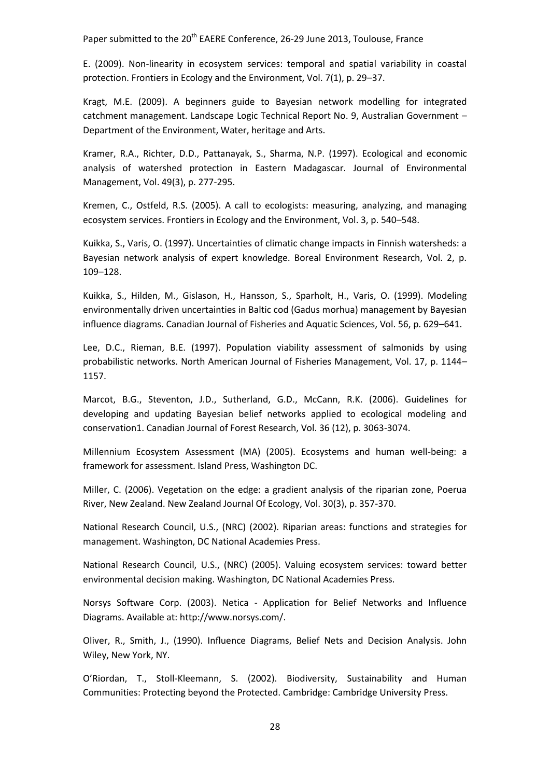E. (2009). Non-linearity in ecosystem services: temporal and spatial variability in coastal protection. Frontiers in Ecology and the Environment, Vol. 7(1), p. 29–37.

Kragt, M.E. (2009). A beginners guide to Bayesian network modelling for integrated catchment management. Landscape Logic Technical Report No. 9, Australian Government – Department of the Environment, Water, heritage and Arts.

Kramer, R.A., Richter, D.D., Pattanayak, S., Sharma, N.P. (1997). Ecological and economic analysis of watershed protection in Eastern Madagascar. Journal of Environmental Management, Vol. 49(3), p. 277-295.

Kremen, C., Ostfeld, R.S. (2005). A call to ecologists: measuring, analyzing, and managing ecosystem services. Frontiers in Ecology and the Environment, Vol. 3, p. 540–548.

Kuikka, S., Varis, O. (1997). Uncertainties of climatic change impacts in Finnish watersheds: a Bayesian network analysis of expert knowledge. Boreal Environment Research, Vol. 2, p. 109–128.

Kuikka, S., Hilden, M., Gislason, H., Hansson, S., Sparholt, H., Varis, O. (1999). Modeling environmentally driven uncertainties in Baltic cod (Gadus morhua) management by Bayesian influence diagrams. Canadian Journal of Fisheries and Aquatic Sciences, Vol. 56, p. 629–641.

Lee, D.C., Rieman, B.E. (1997). Population viability assessment of salmonids by using probabilistic networks. North American Journal of Fisheries Management, Vol. 17, p. 1144– 1157.

Marcot, B.G., Steventon, J.D., Sutherland, G.D., McCann, R.K. (2006). Guidelines for developing and updating Bayesian belief networks applied to ecological modeling and conservation1. Canadian Journal of Forest Research, Vol. 36 (12), p. 3063-3074.

Millennium Ecosystem Assessment (MA) (2005). Ecosystems and human well-being: a framework for assessment. Island Press, Washington DC.

Miller, C. (2006). Vegetation on the edge: a gradient analysis of the riparian zone, Poerua River, New Zealand. New Zealand Journal Of Ecology, Vol. 30(3), p. 357-370.

National Research Council, U.S., (NRC) (2002). Riparian areas: functions and strategies for management. Washington, DC National Academies Press.

National Research Council, U.S., (NRC) (2005). Valuing ecosystem services: toward better environmental decision making. Washington, DC National Academies Press.

Norsys Software Corp. (2003). Netica - Application for Belief Networks and Influence Diagrams. Available at: http://www.norsys.com/.

Oliver, R., Smith, J., (1990). Influence Diagrams, Belief Nets and Decision Analysis. John Wiley, New York, NY.

O'Riordan, T., Stoll-Kleemann, S. (2002). Biodiversity, Sustainability and Human Communities: Protecting beyond the Protected. Cambridge: Cambridge University Press.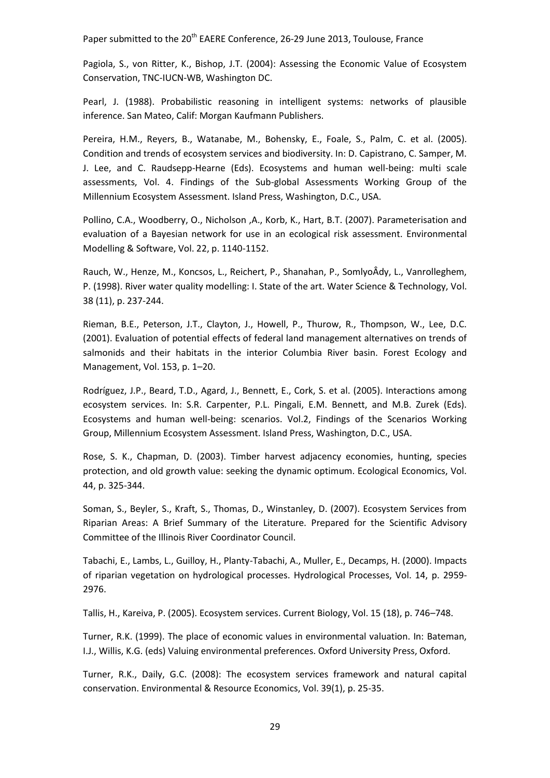Pagiola, S., von Ritter, K., Bishop, J.T. (2004): Assessing the Economic Value of Ecosystem Conservation, TNC-IUCN-WB, Washington DC.

Pearl, J. (1988). Probabilistic reasoning in intelligent systems: networks of plausible inference. San Mateo, Calif: Morgan Kaufmann Publishers.

Pereira, H.M., Reyers, B., Watanabe, M., Bohensky, E., Foale, S., Palm, C. et al. (2005). Condition and trends of ecosystem services and biodiversity. In: D. Capistrano, C. Samper, M. J. Lee, and C. Raudsepp-Hearne (Eds). Ecosystems and human well-being: multi scale assessments, Vol. 4. Findings of the Sub-global Assessments Working Group of the Millennium Ecosystem Assessment. Island Press, Washington, D.C., USA.

Pollino, C.A., Woodberry, O., Nicholson ,A., Korb, K., Hart, B.T. (2007). Parameterisation and evaluation of a Bayesian network for use in an ecological risk assessment. Environmental Modelling & Software, Vol. 22, p. 1140-1152.

Rauch, W., Henze, M., Koncsos, L., Reichert, P., Shanahan, P., SomlyoÂdy, L., Vanrolleghem, P. (1998). River water quality modelling: I. State of the art. Water Science & Technology, Vol. 38 (11), p. 237-244.

Rieman, B.E., Peterson, J.T., Clayton, J., Howell, P., Thurow, R., Thompson, W., Lee, D.C. (2001). Evaluation of potential effects of federal land management alternatives on trends of salmonids and their habitats in the interior Columbia River basin. Forest Ecology and Management, Vol. 153, p. 1–20.

Rodríguez, J.P., Beard, T.D., Agard, J., Bennett, E., Cork, S. et al. (2005). Interactions among ecosystem services. In: S.R. Carpenter, P.L. Pingali, E.M. Bennett, and M.B. Zurek (Eds). Ecosystems and human well-being: scenarios. Vol.2, Findings of the Scenarios Working Group, Millennium Ecosystem Assessment. Island Press, Washington, D.C., USA.

Rose, S. K., Chapman, D. (2003). Timber harvest adjacency economies, hunting, species protection, and old growth value: seeking the dynamic optimum. Ecological Economics, Vol. 44, p. 325-344.

Soman, S., Beyler, S., Kraft, S., Thomas, D., Winstanley, D. (2007). Ecosystem Services from Riparian Areas: A Brief Summary of the Literature. Prepared for the Scientific Advisory Committee of the Illinois River Coordinator Council.

Tabachi, E., Lambs, L., Guilloy, H., Planty-Tabachi, A., Muller, E., Decamps, H. (2000). Impacts of riparian vegetation on hydrological processes. Hydrological Processes, Vol. 14, p. 2959- 2976.

Tallis, H., Kareiva, P. (2005). Ecosystem services. Current Biology, Vol. 15 (18), p. 746–748.

Turner, R.K. (1999). The place of economic values in environmental valuation. In: Bateman, I.J., Willis, K.G. (eds) Valuing environmental preferences. Oxford University Press, Oxford.

Turner, R.K., Daily, G.C. (2008): The ecosystem services framework and natural capital conservation. Environmental & Resource Economics, Vol. 39(1), p. 25-35.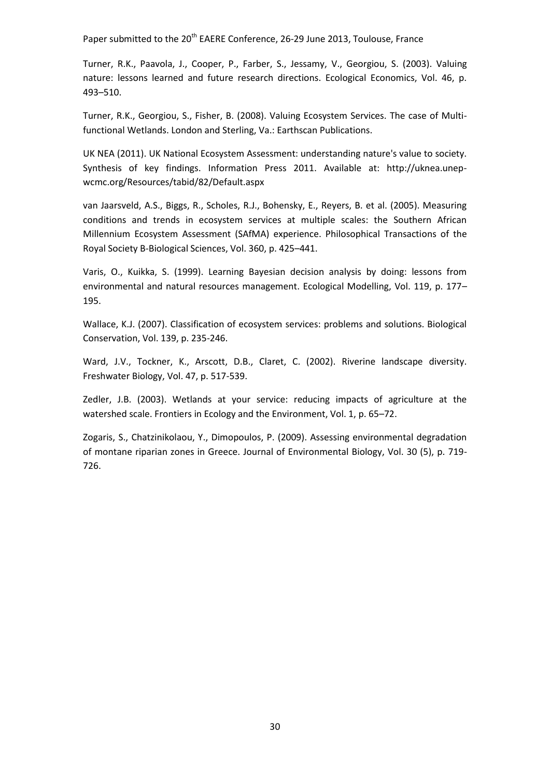Turner, R.K., Paavola, J., Cooper, P., Farber, S., Jessamy, V., Georgiou, S. (2003). Valuing nature: lessons learned and future research directions. Ecological Economics, Vol. 46, p. 493–510.

Turner, R.K., Georgiou, S., Fisher, B. (2008). Valuing Ecosystem Services. The case of Multifunctional Wetlands. London and Sterling, Va.: Earthscan Publications.

UK NEA (2011). UK National Ecosystem Assessment: understanding nature's value to society. Synthesis of key findings. Information Press 2011. Available at: http://uknea.unepwcmc.org/Resources/tabid/82/Default.aspx

van Jaarsveld, A.S., Biggs, R., Scholes, R.J., Bohensky, E., Reyers, B. et al. (2005). Measuring conditions and trends in ecosystem services at multiple scales: the Southern African Millennium Ecosystem Assessment (SAfMA) experience. Philosophical Transactions of the Royal Society B-Biological Sciences, Vol. 360, p. 425–441.

Varis, O., Kuikka, S. (1999). Learning Bayesian decision analysis by doing: lessons from environmental and natural resources management. Ecological Modelling, Vol. 119, p. 177– 195.

Wallace, K.J. (2007). Classification of ecosystem services: problems and solutions. Biological Conservation, Vol. 139, p. 235-246.

Ward, J.V., Tockner, K., Arscott, D.B., Claret, C. (2002). Riverine landscape diversity. Freshwater Biology, Vol. 47, p. 517-539.

Zedler, J.B. (2003). Wetlands at your service: reducing impacts of agriculture at the watershed scale. Frontiers in Ecology and the Environment, Vol. 1, p. 65–72.

Zogaris, S., Chatzinikolaou, Y., Dimopoulos, P. (2009). Assessing environmental degradation of montane riparian zones in Greece. Journal of Environmental Biology, Vol. 30 (5), p. 719- 726.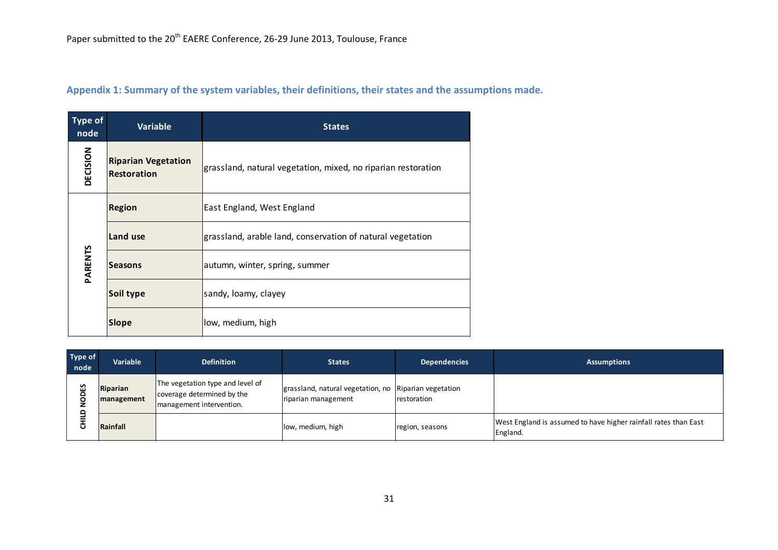| <b>Type of</b><br>node | <b>Variable</b>                                                                                                   | <b>States</b>                                              |  |  |
|------------------------|-------------------------------------------------------------------------------------------------------------------|------------------------------------------------------------|--|--|
| DECISION               | <b>Riparian Vegetation</b><br>grassland, natural vegetation, mixed, no riparian restoration<br><b>Restoration</b> |                                                            |  |  |
| <b>Region</b>          |                                                                                                                   | East England, West England                                 |  |  |
|                        | Land use                                                                                                          | grassland, arable land, conservation of natural vegetation |  |  |
| <b>PARENTS</b>         | <b>Seasons</b>                                                                                                    | autumn, winter, spring, summer                             |  |  |
|                        | Soil type                                                                                                         | sandy, loamy, clayey                                       |  |  |
|                        | <b>Slope</b>                                                                                                      | low, medium, high                                          |  |  |

## **Appendix 1: Summary of the system variables, their definitions, their states and the assumptions made.**

| Type of<br>node | Variable               | <b>Definition</b>                                                                          | <b>States</b>                                                                               | <b>Dependencies</b> | <b>Assumptions</b>                                                          |
|-----------------|------------------------|--------------------------------------------------------------------------------------------|---------------------------------------------------------------------------------------------|---------------------|-----------------------------------------------------------------------------|
| n<br>□          | Riparian<br>management | The vegetation type and level of<br>coverage determined by the<br>management intervention. | grassland, natural vegetation, no Riparian vegetation<br>restoration<br>riparian management |                     |                                                                             |
|                 | Rainfall               |                                                                                            | low, medium, high                                                                           | region, seasons     | West England is assumed to have higher rainfall rates than East<br>England. |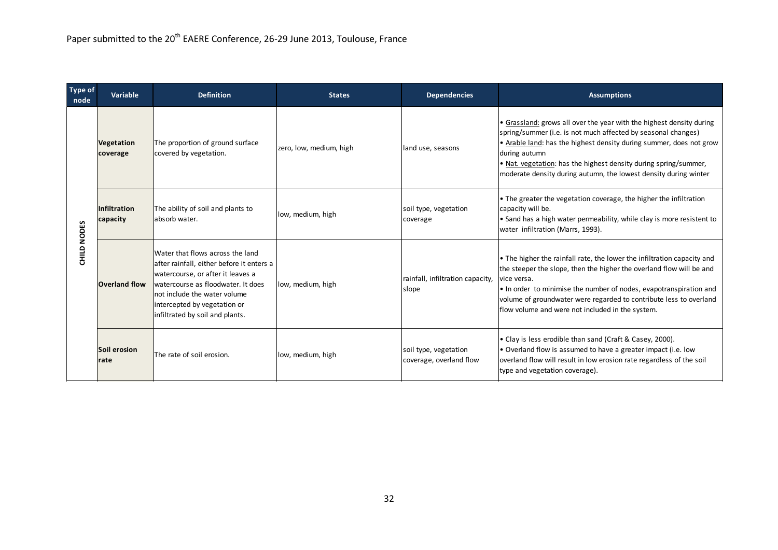| <b>Type of</b><br>node | Variable                        | <b>Definition</b>                                                                                                                                                                                                                                           | <b>States</b>           | <b>Dependencies</b>                              | <b>Assumptions</b>                                                                                                                                                                                                                                                                                                                                                    |
|------------------------|---------------------------------|-------------------------------------------------------------------------------------------------------------------------------------------------------------------------------------------------------------------------------------------------------------|-------------------------|--------------------------------------------------|-----------------------------------------------------------------------------------------------------------------------------------------------------------------------------------------------------------------------------------------------------------------------------------------------------------------------------------------------------------------------|
| <b>CHILD NODES</b>     | <b>Vegetation</b><br>coverage   | The proportion of ground surface<br>covered by vegetation.                                                                                                                                                                                                  | zero, low, medium, high | land use, seasons                                | • Grassland: grows all over the year with the highest density during<br>spring/summer (i.e. is not much affected by seasonal changes)<br>• Arable land: has the highest density during summer, does not grow<br>during autumn<br>• Nat. vegetation: has the highest density during spring/summer,<br>moderate density during autumn, the lowest density during winter |
|                        | <b>Infiltration</b><br>capacity | The ability of soil and plants to<br>absorb water.                                                                                                                                                                                                          | low, medium, high       | soil type, vegetation<br>coverage                | • The greater the vegetation coverage, the higher the infiltration<br>capacity will be.<br>• Sand has a high water permeability, while clay is more resistent to<br>water infiltration (Marrs, 1993).                                                                                                                                                                 |
|                        | <b>Overland flow</b>            | Water that flows across the land<br>after rainfall, either before it enters a<br>watercourse, or after it leaves a<br>watercourse as floodwater. It does<br>not include the water volume<br>intercepted by vegetation or<br>infiltrated by soil and plants. | low, medium, high       | rainfall, infiltration capacity,<br>slope        | • The higher the rainfall rate, the lower the infiltration capacity and<br>the steeper the slope, then the higher the overland flow will be and<br>vice versa.<br>. In order to minimise the number of nodes, evapotranspiration and<br>volume of groundwater were regarded to contribute less to overland<br>flow volume and were not included in the system.        |
|                        | Soil erosion<br>rate            | The rate of soil erosion.                                                                                                                                                                                                                                   | low, medium, high       | soil type, vegetation<br>coverage, overland flow | • Clay is less erodible than sand (Craft & Casey, 2000).<br>• Overland flow is assumed to have a greater impact (i.e. low<br>overland flow will result in low erosion rate regardless of the soil<br>type and vegetation coverage).                                                                                                                                   |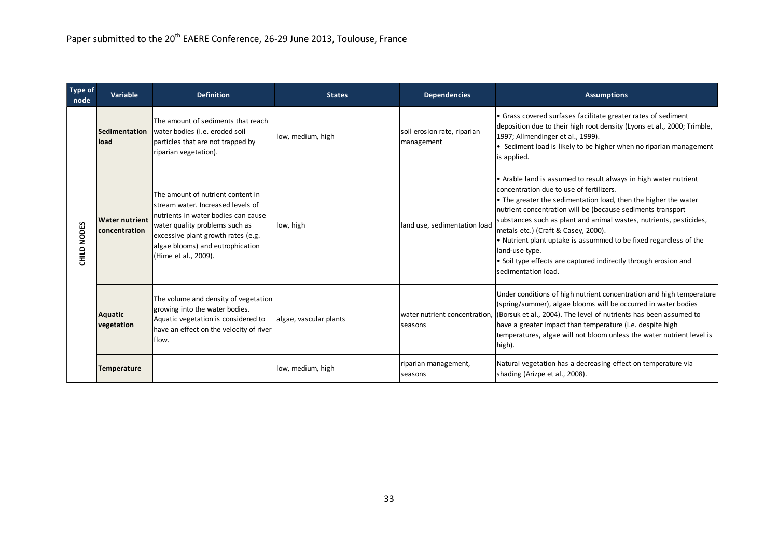| <b>Type of</b><br>node       | Variable                               | <b>Definition</b>                                                                                                                                                                                                                                  | <b>States</b>          | <b>Dependencies</b>                       | <b>Assumptions</b>                                                                                                                                                                                                                                                                                                                                                                                                                                                                                                                                   |  |  |
|------------------------------|----------------------------------------|----------------------------------------------------------------------------------------------------------------------------------------------------------------------------------------------------------------------------------------------------|------------------------|-------------------------------------------|------------------------------------------------------------------------------------------------------------------------------------------------------------------------------------------------------------------------------------------------------------------------------------------------------------------------------------------------------------------------------------------------------------------------------------------------------------------------------------------------------------------------------------------------------|--|--|
|                              | Sedimentation<br>lload                 | The amount of sediments that reach<br>water bodies (i.e. eroded soil<br>particles that are not trapped by<br>riparian vegetation).                                                                                                                 | low, medium, high      | soil erosion rate, riparian<br>management | • Grass covered surfases facilitate greater rates of sediment<br>deposition due to their high root density (Lyons et al., 2000; Trimble,<br>1997; Allmendinger et al., 1999).<br>• Sediment load is likely to be higher when no riparian management<br>is applied.                                                                                                                                                                                                                                                                                   |  |  |
| <b>NODES</b><br><b>CHILD</b> | <b>Water nutrient</b><br>concentration | The amount of nutrient content in<br>lstream water. Increased levels of<br>nutrients in water bodies can cause<br>water quality problems such as<br>excessive plant growth rates (e.g.<br>algae blooms) and eutrophication<br>(Hime et al., 2009). | low, high              | land use, sedimentation load              | • Arable land is assumed to result always in high water nutrient<br>concentration due to use of fertilizers.<br>$\bullet$ The greater the sedimentation load, then the higher the water<br>nutrient concentration will be (because sediments transport<br>substances such as plant and animal wastes, nutrients, pesticides,<br>metals etc.) (Craft & Casey, 2000).<br>. Nutrient plant uptake is assummed to be fixed regardless of the<br>land-use type.<br>• Soil type effects are captured indirectly through erosion and<br>sedimentation load. |  |  |
|                              | <b>Aquatic</b><br>vegetation           | The volume and density of vegetation<br>growing into the water bodies.<br>Aquatic vegetation is considered to<br>have an effect on the velocity of river<br>flow.                                                                                  | algae, vascular plants | seasons                                   | Under conditions of high nutrient concentration and high temperature<br>(spring/summer), algae blooms will be occurred in water bodies<br>water nutrient concentration, (Borsuk et al., 2004). The level of nutrients has been assumed to<br>have a greater impact than temperature (i.e. despite high<br>temperatures, algae will not bloom unless the water nutrient level is<br>high).                                                                                                                                                            |  |  |
|                              | <b>Temperature</b>                     |                                                                                                                                                                                                                                                    | low, medium, high      | riparian management,<br>seasons           | Natural vegetation has a decreasing effect on temperature via<br>shading (Arizpe et al., 2008).                                                                                                                                                                                                                                                                                                                                                                                                                                                      |  |  |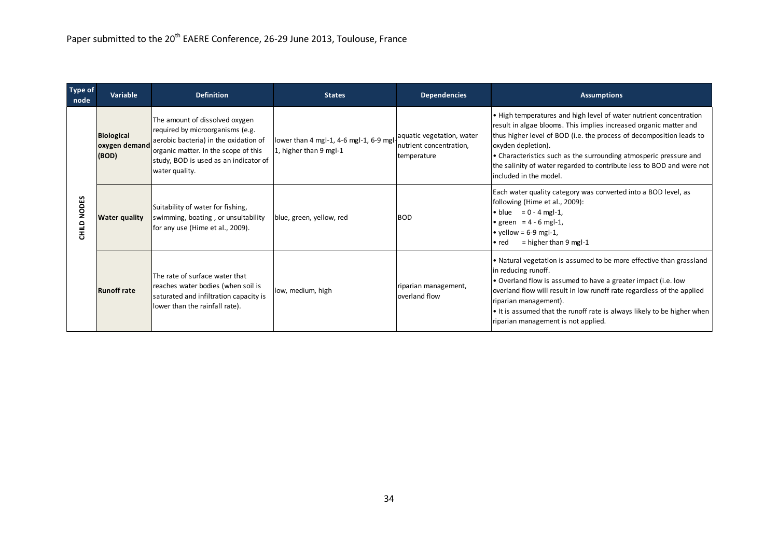| <b>Type of</b><br>node | Variable                                                                                                                                                               | <b>Definition</b>                                                                                                                                                                                              | <b>States</b>                                                     | <b>Dependencies</b>                                                 | <b>Assumptions</b>                                                                                                                                                                                                                                                                                                                                                                                             |
|------------------------|------------------------------------------------------------------------------------------------------------------------------------------------------------------------|----------------------------------------------------------------------------------------------------------------------------------------------------------------------------------------------------------------|-------------------------------------------------------------------|---------------------------------------------------------------------|----------------------------------------------------------------------------------------------------------------------------------------------------------------------------------------------------------------------------------------------------------------------------------------------------------------------------------------------------------------------------------------------------------------|
|                        | <b>Biological</b><br>oxygen demand<br>(BOD)                                                                                                                            | The amount of dissolved oxygen<br>required by microorganisms (e.g.<br>aerobic bacteria) in the oxidation of<br>organic matter. In the scope of this<br>study, BOD is used as an indicator of<br>water quality. | lower than 4 mgl-1, 4-6 mgl-1, 6-9 mgl-<br>1, higher than 9 mgl-1 | aquatic vegetation, water<br>nutrient concentration,<br>temperature | . High temperatures and high level of water nutrient concentration<br>result in algae blooms. This implies increased organic matter and<br>thus higher level of BOD (i.e. the process of decomposition leads to<br>oxyden depletion).<br>• Characteristics such as the surrounding atmosperic pressure and<br>the salinity of water regarded to contribute less to BOD and were not<br>lincluded in the model. |
| <b>NODES</b><br>CHILD  | Suitability of water for fishing,<br>swimming, boating, or unsuitability<br><b>Water quality</b><br>for any use (Hime et al., 2009).                                   |                                                                                                                                                                                                                | blue, green, yellow, red                                          | <b>BOD</b>                                                          | Each water quality category was converted into a BOD level, as<br>following (Hime et al., 2009):<br>• blue = $0 - 4$ mgl-1,<br>• green = $4 - 6$ mgl-1,<br>$\bullet$ yellow = 6-9 mgl-1,<br>$=$ higher than 9 mgl-1<br>$\bullet$ red                                                                                                                                                                           |
|                        | The rate of surface water that<br>reaches water bodies (when soil is<br><b>Runoff rate</b><br>saturated and infiltration capacity is<br>lower than the rainfall rate). |                                                                                                                                                                                                                | low, medium, high                                                 | riparian management,<br>loverland flow                              | • Natural vegetation is assumed to be more effective than grassland<br>in reducing runoff.<br>• Overland flow is assumed to have a greater impact (i.e. low<br>overland flow will result in low runoff rate regardless of the applied<br>riparian management).<br>$\cdot$ It is assumed that the runoff rate is always likely to be higher when<br>riparian management is not applied.                         |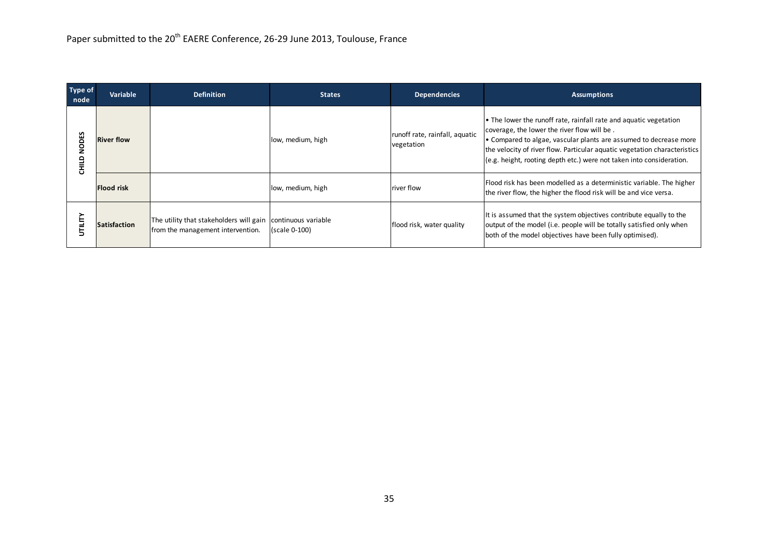| <b>Type of</b><br>node | <b>Variable</b>     | <b>Definition</b>                                                                                | <b>States</b>     | <b>Dependencies</b>                          | <b>Assumptions</b>                                                                                                                                                                                                                                                                                                                         |
|------------------------|---------------------|--------------------------------------------------------------------------------------------------|-------------------|----------------------------------------------|--------------------------------------------------------------------------------------------------------------------------------------------------------------------------------------------------------------------------------------------------------------------------------------------------------------------------------------------|
| <b>NODES</b><br>품      | <b>River flow</b>   |                                                                                                  | low, medium, high | runoff rate, rainfall, aquatic<br>vegetation | • The lower the runoff rate, rainfall rate and aquatic vegetation<br>coverage, the lower the river flow will be.<br>• Compared to algae, vascular plants are assumed to decrease more<br>the velocity of river flow. Particular aquatic vegetation characteristics<br>(e.g. height, rooting depth etc.) were not taken into consideration. |
|                        | Flood risk          |                                                                                                  | low, medium, high | river flow                                   | Flood risk has been modelled as a deterministic variable. The higher<br>the river flow, the higher the flood risk will be and vice versa.                                                                                                                                                                                                  |
|                        | <b>Satisfaction</b> | The utility that stakeholders will gain continuous variable<br>from the management intervention. | (scale 0-100)     | flood risk, water quality                    | It is assumed that the system objectives contribute equally to the<br>output of the model (i.e. people will be totally satisfied only when<br>both of the model objectives have been fully optimised).                                                                                                                                     |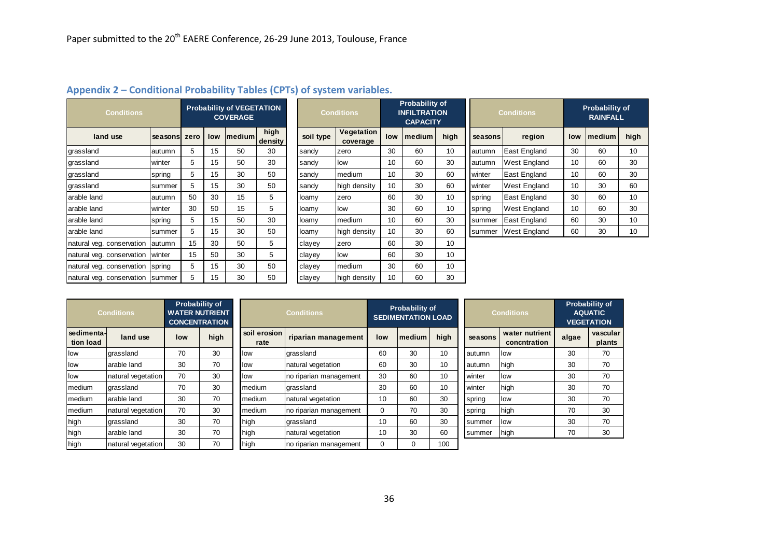| <b>Conditions</b>                |          | <b>Probability of VEGETATION</b><br><b>COVERAGE</b> |     |                |                 |           | <b>Conditions</b>      | <b>Probability of</b><br><b>INFILTRATION</b><br><b>CAPACITY</b> |        |      | <b>Conditions</b> |                     | <b>Probability of</b><br><b>RAINFALL</b> |                |      |
|----------------------------------|----------|-----------------------------------------------------|-----|----------------|-----------------|-----------|------------------------|-----------------------------------------------------------------|--------|------|-------------------|---------------------|------------------------------------------|----------------|------|
| land use                         | seasonsl | zero                                                | low | <b>Imedium</b> | high<br>density | soil type | Vegetation<br>coverage | low                                                             | medium | high | seasons           | region              | low                                      | <b>Imedium</b> | high |
| grassland                        | autumn   | 5                                                   | 15  | 50             | 30              | sandy     | zero                   | 30                                                              | 60     | 10   | autumn            | East England        | 30                                       | 60             | 10   |
| grassland                        | winter   | 5                                                   | 15  | 50             | 30              | sandy     | low                    | 10                                                              | 60     | 30   | autumn            | <b>West England</b> | 10                                       | 60             | 30   |
| grassland                        | spring   | 5                                                   | 15  | 30             | 50              | sandy     | medium                 | 10                                                              | 30     | 60   | winter            | East England        | 10                                       | 60             | 30   |
| grassland                        | summer   | 5                                                   | 15  | 30             | 50              | sandy     | high density           | 10                                                              | 30     | 60   | winter            | <b>West England</b> | 10                                       | 30             | 60   |
| arable land                      | autumn   | 50                                                  | 30  | 15             | 5               | loamy     | zero                   | 60                                                              | 30     | 10   | spring            | East England        | 30                                       | 60             | 10   |
| arable land                      | winter   | 30                                                  | 50  | 15             | 5               | loamy     | low                    | 30                                                              | 60     | 10   | spring            | <b>West England</b> | 10                                       | 60             | 30   |
| arable land                      | spring   | 5                                                   | 15  | 50             | 30              | loamy     | medium                 | 10                                                              | 60     | 30   | summer            | East England        | 60                                       | 30             | 10   |
| arable land                      | summer   | 5                                                   | 15  | 30             | 50              | loamy     | high density           | 10                                                              | 30     | 60   | summer            | <b>West England</b> | 60                                       | 30             | 10   |
| natural yeg. conservation        | autumn   | 15                                                  | 30  | 50             | 5               | clayey    | zero                   | 60                                                              | 30     | 10   |                   |                     |                                          |                |      |
| natural veg. conservation        | winter   | 15                                                  | 50  | 30             | 5               | clayey    | low                    | 60                                                              | 30     | 10   |                   |                     |                                          |                |      |
| natural veg. conservation spring |          | 5                                                   | 15  | 30             | 50              | clayey    | medium                 | 30                                                              | 60     | 10   |                   |                     |                                          |                |      |
| natural veg. conservation summer |          | 5                                                   | 15  | 30             | 50              | clayey    | high density           | 10                                                              | 60     | 30   |                   |                     |                                          |                |      |

## **Appendix 2 – Conditional Probability Tables (CPTs) of system variables.**

| <b>Conditions</b>       |                    | <b>Probability of</b><br><b>WATER NUTRIENT</b><br><b>CONCENTRATION</b> |      |                      | <b>Conditions</b>      |          |                | <b>Probability of</b><br><b>SEDIMENTATION LOAD</b> |         | <b>Conditions</b>              | <b>Probability of</b><br><b>AQUATIC</b><br><b>VEGETATION</b> |                    |
|-------------------------|--------------------|------------------------------------------------------------------------|------|----------------------|------------------------|----------|----------------|----------------------------------------------------|---------|--------------------------------|--------------------------------------------------------------|--------------------|
| sedimenta-<br>tion load | land use           | low                                                                    | high | soil erosion<br>rate | riparian management    | low      | <b>Imedium</b> | high                                               | seasons | water nutrient<br>concntration | algae                                                        | vascular<br>plants |
| low                     | grassland          | 70                                                                     | 30   | low                  | grassland              | 60       | 30             | 10                                                 | autumn  | <b>Ilow</b>                    | 30                                                           | 70                 |
| low                     | arable land        | 30                                                                     | 70   | low                  | natural vegetation     | 60       | 30             | 10                                                 | autumn  | high                           | 30                                                           | 70                 |
| low                     | natural vegetation | 70                                                                     | 30   | low                  | no riparian management | 30       | 60             | 10                                                 | winter  | <b>Ilow</b>                    | 30                                                           | 70                 |
| medium                  | grassland          | 70                                                                     | 30   | medium               | grassland              | 30       | 60             | 10                                                 | winter  | high                           | 30                                                           | 70                 |
| medium                  | arable land        | 30                                                                     | 70   | medium               | natural vegetation     | 10       | 60             | 30                                                 | spring  | llow                           | 30                                                           | 70                 |
| medium                  | natural vegetation | 70                                                                     | 30   | medium               | no riparian management | $\Omega$ | 70             | 30                                                 | spring  | high                           | 70                                                           | 30                 |
| high                    | grassland          | 30                                                                     | 70   | high                 | grassland              | 10       | 60             | 30                                                 | summer  | <b>Ilow</b>                    | 30                                                           | 70                 |
| high                    | arable land        | 30                                                                     | 70   | high                 | natural vegetation     | 10       | 30             | 60                                                 | summer  | high                           | 70                                                           | 30                 |
| high                    | natural vegetation | 30                                                                     | 70   | high                 | no riparian management | 0        | $\Omega$       | 100                                                |         |                                |                                                              |                    |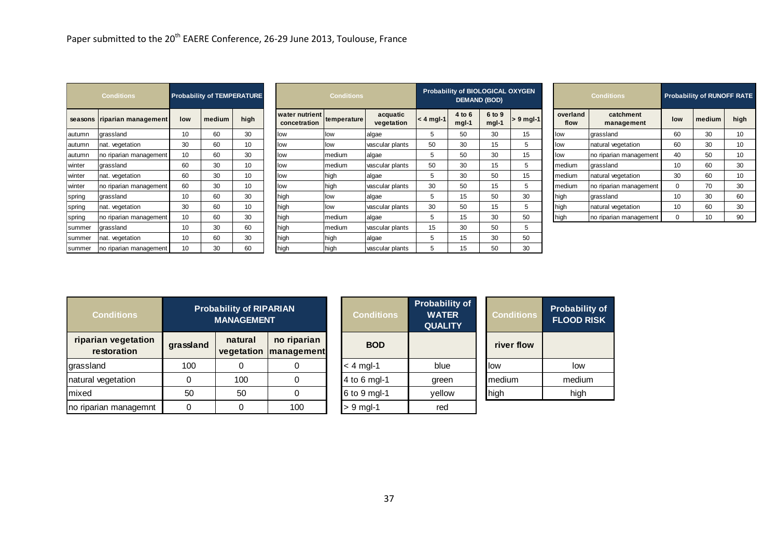|           | <b>Conditions</b>                  |             |        | <b>Probability of TEMPERATURE</b>                   |                                | <b>Conditions</b> |                        |                                                         | Probability of BIOLOGICAL OXYGEN | <b>DEMAND (BOD)</b> |                   |                                            | <b>Conditions</b>       |             | <b>Probability of RUNOFF RATE</b> |                 |
|-----------|------------------------------------|-------------|--------|-----------------------------------------------------|--------------------------------|-------------------|------------------------|---------------------------------------------------------|----------------------------------|---------------------|-------------------|--------------------------------------------|-------------------------|-------------|-----------------------------------|-----------------|
| seasons   | riparian management                | low         | medium | high                                                | water nutrient<br>concetration | temperature       | acquatic<br>vegetation | $< 4$ mgl-1                                             | 4 to 6<br>mgl-1                  | 6 to 9<br>$mgl-1$   | $> 9$ mgl-1       | overland<br>flow                           | catchment<br>management | low         | medium                            | high            |
| autumn    | grassland                          | 10          | 60     | 30                                                  | low                            | low               | algae                  | $5\phantom{.0}$                                         | 50                               | 30                  | 15                | low                                        | grassland               | 60          | 30                                | 10 <sup>1</sup> |
| autumn    | nat. vegetation                    | 30          | 60     | 10 <sup>°</sup>                                     | low                            | low               | vascular plants        | 50                                                      | 30                               | 15                  | 5                 | low                                        | natural vegetation      | 60          | 30                                | 10              |
| autumn    | no riparian management             | 10          | 60     | 30                                                  | low                            | medium            | algae                  | 5                                                       | 50                               | 30                  | 15                | low                                        | no riparian management  | 40          | 50                                | 10              |
| winter    | grassland                          | 60          | 30     | 10                                                  | low                            | medium            | vascular plants        | 50                                                      | 30                               | 15                  | $\sqrt{5}$        | medium                                     | grassland               | 10          | 60                                | 30              |
| winter    | nat. vegetation                    | 60          | 30     | 10                                                  | low                            | high              | algae                  | $5\phantom{.0}$                                         | 30                               | 50                  | 15                | medium                                     | natural vegetation      | 30          | 60                                | 10              |
| winter    | no riparian management             | 60          | $30\,$ | 10                                                  | low                            | high              | vascular plants        | 30                                                      | 50                               | 15                  | $5\phantom{.0}$   | medium                                     | no riparian management  | $\mathsf 0$ | 70                                | 30              |
| spring    | grassland                          | 10          | 60     | 30                                                  | high                           | low               | algae                  | 5                                                       | 15                               | 50                  | 30                | high                                       | grassland               | 10          | 30                                | 60              |
| spring    | nat. vegetation                    | 30          | 60     | 10                                                  | high                           | low               | vascular plants        | $30\,$                                                  | 50                               | 15                  | $\sqrt{5}$        | high                                       | natural vegetation      | 10          | 60                                | 30              |
| spring    | no riparian management             | 10          | 60     | 30                                                  | high                           | nedium            | algae                  | 5                                                       | 15                               | 30                  | 50                | high                                       | no riparian management  | $\mathbf 0$ | 10                                | 90              |
| summer    | grassland                          | 10          | $30\,$ | 60                                                  | high                           | medium            | vascular plants        | 15                                                      | 30                               | 50                  | 5                 |                                            |                         |             |                                   |                 |
| summer    | nat. vegetation                    | 10          | 60     | 30                                                  | high                           | high              | algae                  | $5\phantom{.0}$                                         | 15                               | 30                  | 50                |                                            |                         |             |                                   |                 |
| summer    | no riparian management             | 10          | 30     | 60                                                  | high                           | high              | vascular plants        | 5                                                       | 15                               | 50                  | 30                |                                            |                         |             |                                   |                 |
|           | <b>Conditions</b>                  |             |        | <b>Probability of RIPARIAN</b><br><b>MANAGEMENT</b> |                                |                   | <b>Conditions</b>      | <b>Probability of</b><br><b>WATER</b><br><b>QUALITY</b> |                                  |                     | <b>Conditions</b> | <b>Probability of</b><br><b>FLOOD RISK</b> |                         |             |                                   |                 |
|           | riparian vegetation<br>restoration | grassland   |        | natural<br>vegetation                               | no riparian<br>management      |                   | <b>BOD</b>             |                                                         |                                  |                     | river flow        |                                            |                         |             |                                   |                 |
| grassland |                                    | 100         |        | $\mathbf 0$                                         | $\pmb{0}$                      |                   | $<$ 4 mgl-1            | blue                                                    |                                  | low                 |                   | low                                        |                         |             |                                   |                 |
|           | natural vegetation                 | $\mathsf 0$ |        | 100                                                 | $\pmb{0}$                      |                   | 4 to 6 mgl-1           | green                                                   |                                  | medium              |                   | medium                                     |                         |             |                                   |                 |
| mixed     |                                    | 50          |        | 50                                                  | 0                              |                   | 6 to 9 mgl-1           | yellow                                                  |                                  | high                |                   | high                                       |                         |             |                                   |                 |
|           | no riparian managemnt              | 0           |        | $\mathbf 0$                                         | 100                            |                   | $> 9$ mgl-1            | red                                                     |                                  |                     |                   |                                            |                         |             |                                   |                 |
|           |                                    |             |        |                                                     |                                |                   |                        |                                                         |                                  |                     |                   |                                            |                         |             |                                   |                 |

| <b>Conditions</b>                  |           | <b>Probability of RIPARIAN</b><br><b>MANAGEMENT</b> |                                        | <b>Conditions</b> | <b>Probability of</b><br><b>WATER</b><br><b>QUALITY</b> | <b>Conditions</b> | <b>Probability of</b><br><b>FLOOD RISK</b> |
|------------------------------------|-----------|-----------------------------------------------------|----------------------------------------|-------------------|---------------------------------------------------------|-------------------|--------------------------------------------|
| riparian vegetation<br>restoration | grassland | natural                                             | no riparian<br>vegetation   management | <b>BOD</b>        |                                                         | river flow        |                                            |
| grassland                          | 100       |                                                     |                                        | $<$ 4 mgl-1       | blue                                                    | llow              | low                                        |
| natural vegetation                 |           | 100                                                 |                                        | 4 to 6 mgl-1      | green                                                   | medium            | medium                                     |
| mixed                              | 50        | 50                                                  |                                        | 6 to 9 mgl-1      | yellow                                                  | high              | high                                       |
| no riparian managemnt              |           |                                                     | 100                                    | $> 9$ mgl-1       | red                                                     |                   |                                            |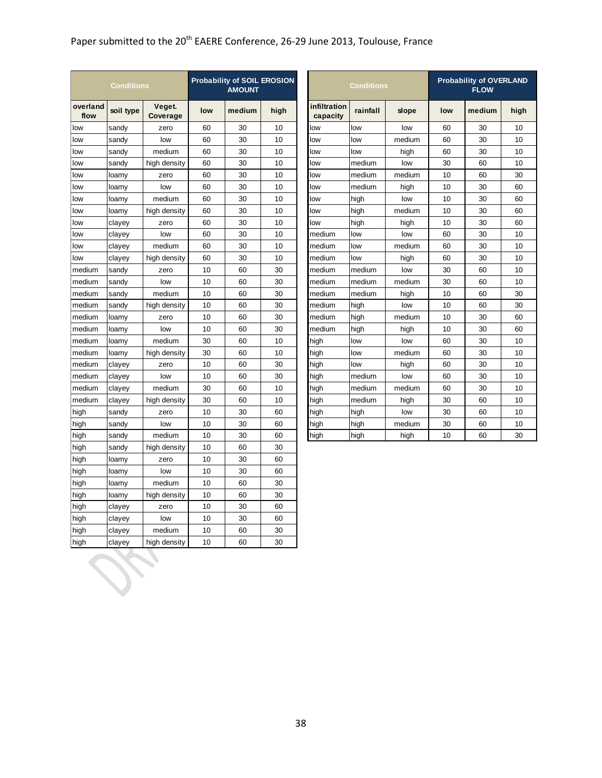|                  | <b>Conditions</b> |                    |     | <b>Probability of SOIL EROSION</b><br><b>AMOUNT</b> |      |                          | <b>Conditions</b> | <b>Probability of OVERLANI</b><br><b>FLOW</b> |     |        |      |
|------------------|-------------------|--------------------|-----|-----------------------------------------------------|------|--------------------------|-------------------|-----------------------------------------------|-----|--------|------|
| overland<br>flow | soil type         | Veget.<br>Coverage | low | medium                                              | high | infiltration<br>capacity | rainfall          | slope                                         | low | medium | higl |
| low              | sandy             | zero               | 60  | 30                                                  | 10   | low                      | low               | low                                           | 60  | 30     | 10   |
| low              | sandy             | low                | 60  | 30                                                  | 10   | low                      | low               | medium                                        | 60  | 30     | 10   |
| low              | sandy             | medium             | 60  | 30                                                  | 10   | low                      | low               | high                                          | 60  | 30     | 10   |
| low              | sandy             | high density       | 60  | 30                                                  | 10   | low                      | medium            | low                                           | 30  | 60     | 10   |
| low              | loamy             | zero               | 60  | 30                                                  | 10   | low                      | medium            | medium                                        | 10  | 60     | 30   |
| low              | loamy             | low                | 60  | 30                                                  | 10   | low                      | medium            | high                                          | 10  | 30     | 60   |
| low              | loamy             | medium             | 60  | 30                                                  | 10   | low                      | high              | low                                           | 10  | 30     | 60   |
| low              | loamy             | high density       | 60  | 30                                                  | 10   | low                      | high              | medium                                        | 10  | 30     | 60   |
| low              | clayey            | zero               | 60  | 30                                                  | 10   | low                      | high              | high                                          | 10  | 30     | 60   |
| low              | clayey            | low                | 60  | 30                                                  | 10   | medium                   | low               | low                                           | 60  | 30     | 10   |
| low              | clayey            | medium             | 60  | 30                                                  | 10   | medium                   | low               | medium                                        | 60  | 30     | 10   |
| low              | clayey            | high density       | 60  | 30                                                  | 10   | medium                   | low               | high                                          | 60  | 30     | 10   |
| medium           | sandy             | zero               | 10  | 60                                                  | 30   | medium                   | medium            | low                                           | 30  | 60     | 10   |
| medium           | sandy             | low                | 10  | 60                                                  | 30   | medium                   | medium            | medium                                        | 30  | 60     | 10   |
| medium           | sandy             | medium             | 10  | 60                                                  | 30   | medium                   | medium            | high                                          | 10  | 60     | 30   |
| medium           | sandy             | high density       | 10  | 60                                                  | 30   | medium                   | high              | low                                           | 10  | 60     | 30   |
| medium           | loamy             | zero               | 10  | 60                                                  | 30   | medium                   | high              | medium                                        | 10  | 30     | 60   |
| medium           | loamy             | low                | 10  | 60                                                  | 30   | medium                   | high              | high                                          | 10  | 30     | 60   |
| medium           | loamy             | medium             | 30  | 60                                                  | 10   | high                     | low               | low                                           | 60  | 30     | 10   |
| medium           | loamy             | high density       | 30  | 60                                                  | 10   | high                     | low               | medium                                        | 60  | 30     | 10   |
| medium           | clayey            | zero               | 10  | 60                                                  | 30   | high                     | low               | high                                          | 60  | 30     | 10   |
| medium           | clayey            | low                | 10  | 60                                                  | 30   | high                     | medium            | low                                           | 60  | 30     | 10   |
| medium           | clayey            | medium             | 30  | 60                                                  | 10   | high                     | medium            | medium                                        | 60  | 30     | 10   |
| medium           | clayey            | high density       | 30  | 60                                                  | 10   | high                     | medium            | high                                          | 30  | 60     | 10   |
| high             | sandy             | zero               | 10  | 30                                                  | 60   | high                     | high              | low                                           | 30  | 60     | 10   |
| high             | sandy             | low                | 10  | 30                                                  | 60   | high                     | high              | medium                                        | 30  | 60     | 10   |
| high             | sandy             | medium             | 10  | 30                                                  | 60   | high                     | high              | high                                          | 10  | 60     | 30   |
| high             | sandy             | high density       | 10  | 60                                                  | 30   |                          |                   |                                               |     |        |      |
| high             | loamy             | zero               | 10  | 30                                                  | 60   |                          |                   |                                               |     |        |      |
| high             | loamy             | low                | 10  | 30                                                  | 60   |                          |                   |                                               |     |        |      |
| high             | loamy             | medium             | 10  | 60                                                  | 30   |                          |                   |                                               |     |        |      |
| high             | loamy             | high density       | 10  | 60                                                  | 30   |                          |                   |                                               |     |        |      |
| high             | clayey            | zero               | 10  | 30                                                  | 60   |                          |                   |                                               |     |        |      |
| high             | clayey            | low                | 10  | 30                                                  | 60   |                          |                   |                                               |     |        |      |
| high             | clayey            | medium             | 10  | 60                                                  | 30   |                          |                   |                                               |     |        |      |
| high             | clayey            | high density       | 10  | 60                                                  | 30   |                          |                   |                                               |     |        |      |
|                  |                   |                    |     |                                                     |      |                          |                   |                                               |     |        |      |

| <b>AMOUNT</b> | y of SOIL EROSION |                          | <b>Conditions</b> |        |     | <b>Probability of OVERLAND</b><br><b>FLOW</b> |      |
|---------------|-------------------|--------------------------|-------------------|--------|-----|-----------------------------------------------|------|
| medium        | high              | infiltration<br>capacity | rainfall          | slope  | low | medium                                        | high |
| 30            | 10                | low                      | low               | low    | 60  | 30                                            | 10   |
| 30            | 10                | low                      | low               | medium | 60  | 30                                            | 10   |
| 30            | 10                | low                      | low               | high   | 60  | 30                                            | 10   |
| 30            | 10                | low                      | medium            | low    | 30  | 60                                            | 10   |
| 30            | 10                | low                      | medium            | medium | 10  | 60                                            | 30   |
| 30            | 10                | low                      | medium            | high   | 10  | 30                                            | 60   |
| 30            | 10                | low                      | high              | low    | 10  | 30                                            | 60   |
| 30            | 10                | low                      | high              | medium | 10  | 30                                            | 60   |
| 30            | 10                | low                      | high              | high   | 10  | 30                                            | 60   |
| 30            | 10                | medium                   | low               | low    | 60  | 30                                            | 10   |
| 30            | 10                | medium                   | low               | medium | 60  | 30                                            | 10   |
| 30            | 10                | medium                   | low               | high   | 60  | 30                                            | 10   |
| 60            | 30                | medium                   | medium            | low    | 30  | 60                                            | 10   |
| 60            | 30                | medium                   | medium            | medium | 30  | 60                                            | 10   |
| 60            | 30                | medium                   | medium            | high   | 10  | 60                                            | 30   |
| 60            | 30                | medium                   | high              | low    | 10  | 60                                            | 30   |
| 60            | 30                | medium                   | high              | medium | 10  | 30                                            | 60   |
| 60            | 30                | medium                   | high              | high   | 10  | 30                                            | 60   |
| 60            | 10                | high                     | low               | low    | 60  | 30                                            | 10   |
| 60            | 10                | high                     | low               | medium | 60  | 30                                            | 10   |
| 60            | 30                | high                     | low               | high   | 60  | 30                                            | 10   |
| 60            | 30                | high                     | medium            | low    | 60  | 30                                            | 10   |
| 60            | 10                | high                     | medium            | medium | 60  | 30                                            | 10   |
| 60            | 10                | high                     | medium            | high   | 30  | 60                                            | 10   |
| 30            | 60                | high                     | high              | low    | 30  | 60                                            | 10   |
| 30            | 60                | high                     | high              | medium | 30  | 60                                            | 10   |
| 30            | 60                | high                     | high              | high   | 10  | 60                                            | 30   |